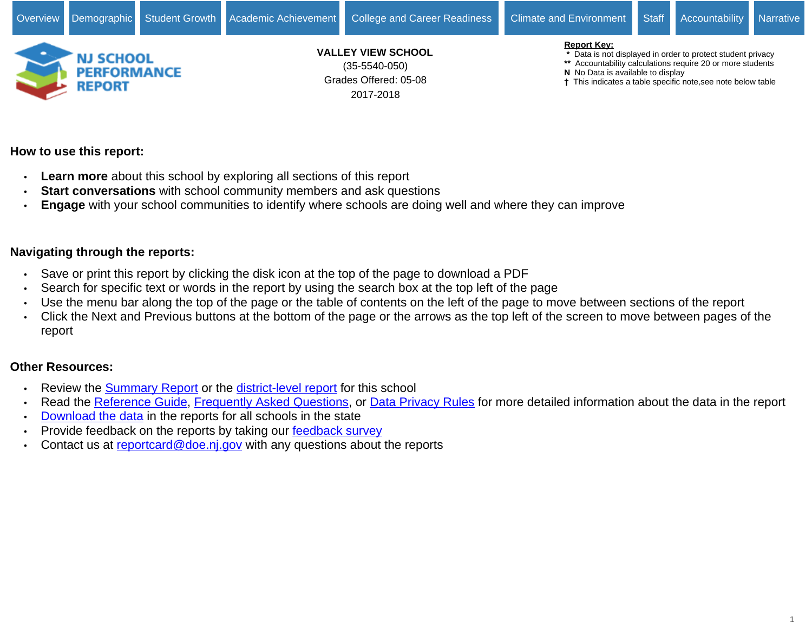

# **How to use this report:**

- **Learn more** about this school by exploring all sections of this report
- **Start conversations** with school community members and ask questions
- **Engage** with your school communities to identify where schools are doing well and where they can improve

# **Navigating through the reports:**

- Save or print this report by clicking the disk icon at the top of the page to download a PDF
- Search for specific text or words in the report by using the search box at the top left of the page
- Use the menu bar along the top of the page or the table of contents on the left of the page to move between sections of the report
- Click the Next and Previous buttons at the bottom of the page or the arrows as the top left of the screen to move between pages of the report

# **Other Resources:**

- Review the [Summary Report](https://rc.doe.state.nj.us/report.aspx?type=summaryschool&lang=english&county=35&district=5540&school=050&sy=1718&schoolyear=2017-2018) or the [district-level report](https://rc.doe.state.nj.us/report.aspx?type=district&lang=english&county=35&district=5540&school=&sy=1718&schoolyear=2017-2018) for this school
- Read the [Reference Guide,](javascript:void(window.open(window.location.origin%20+%20) [Frequently Asked Questions](javascript:void(window.open(window.location.origin%20+%20), or [Data Privacy Rules](javascript:void(window.open(window.location.origin%20+%20) for more detailed information about the data in the report
- [Download the data](javascript:void(window.open(window.location.origin%20+%20) in the reports for all schools in the state
- Provide feedback on the reports by taking our [feedback survey](javascript:void(window.open()
- Contact us at [reportcard@doe.nj.gov](mailto:reportcard@doe.nj.gov) with any questions about the reports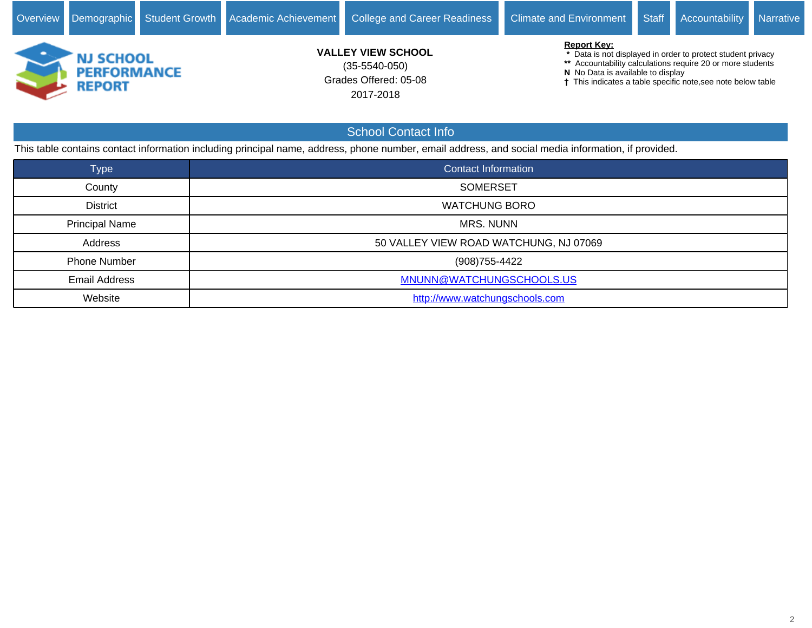

This table contains contact information including principal name, address, phone number, email address, and social media information, if provided.

| <b>Type</b>           | <b>Contact Information</b>             |
|-----------------------|----------------------------------------|
| County                | <b>SOMERSET</b>                        |
| <b>District</b>       | <b>WATCHUNG BORO</b>                   |
| <b>Principal Name</b> | <b>MRS. NUNN</b>                       |
| Address               | 50 VALLEY VIEW ROAD WATCHUNG, NJ 07069 |
| <b>Phone Number</b>   | (908) 755-4422                         |
| <b>Email Address</b>  | MNUNN@WATCHUNGSCHOOLS.US               |
| Website               | http://www.watchungschools.com         |

School Contact Info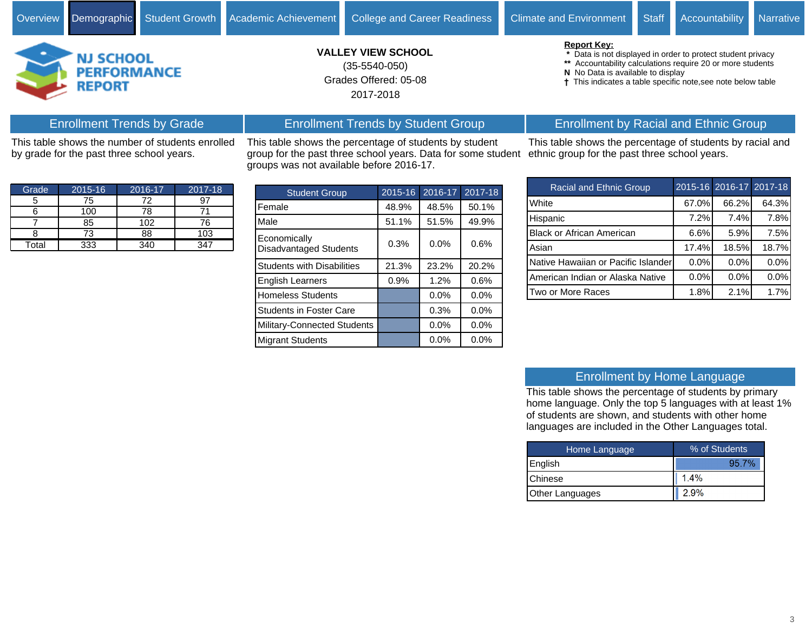**Report Key:**

**N** No Data is available to display



by grade for the past three school years.

# Grades Offered: 05-08 **VALLEY VIEW SCHOOL** 2017-2018 (35-5540-050)

This table shows the percentage of students by student group for the past three school years. Data for some student

Enrollment Trends by Student Group

groups was not available before 2016-17.

# Enrollment by Racial and Ethnic Group

 **\*** Data is not displayed in order to protect student privacy **\*\*** Accountability calculations require 20 or more students

This indicates a table specific note,see note below table

This table shows the percentage of students by racial and ethnic group for the past three school years.

| <b>Racial and Ethnic Group</b>      |       | 2015-16 2016-17 2017-18 |         |
|-------------------------------------|-------|-------------------------|---------|
| White                               | 67.0% | 66.2%                   | 64.3%   |
| Hispanic                            | 7.2%  | 7.4%                    | 7.8%    |
| <b>Black or African American</b>    | 6.6%  | 5.9%                    | 7.5%    |
| Asian                               | 17.4% | 18.5%                   | 18.7%   |
| Native Hawaiian or Pacific Islander | 0.0%  | 0.0%                    | 0.0%    |
| American Indian or Alaska Native    | 0.0%  | $0.0\%$                 | $0.0\%$ |
| Two or More Races                   | 1.8%  | 2.1%                    | 1.7%    |

| Grade | 2015-16 | 2016-17 | 2017-18 |
|-------|---------|---------|---------|
|       | 75      | 72      |         |
|       | 100     | 78      |         |
|       | 85      | 102     | 76      |
|       | 73      | 88      | 103     |
| Total | 333     | 340     | 347     |

This table shows the number of students enrolled

Enrollment Trends by Grade

| <b>Student Group</b>                          | 2015-16 | 2016-17 | 2017-18 |
|-----------------------------------------------|---------|---------|---------|
| Female                                        | 48.9%   | 48.5%   | 50.1%   |
| Male                                          | 51.1%   | 51.5%   | 49.9%   |
| Economically<br><b>Disadvantaged Students</b> | 0.3%    | 0.0%    | 0.6%    |
| <b>Students with Disabilities</b>             | 21.3%   | 23.2%   | 20.2%   |
| <b>English Learners</b>                       | 0.9%    | 1.2%    | 0.6%    |
| <b>Homeless Students</b>                      |         | 0.0%    | 0.0%    |
| <b>Students in Foster Care</b>                |         | 0.3%    | $0.0\%$ |
| <b>Military-Connected Students</b>            |         | 0.0%    | 0.0%    |
| <b>Migrant Students</b>                       |         | 0.0%    | 0.0%    |

#### Enrollment by Home Language

This table shows the percentage of students by primary home language. Only the top 5 languages with at least 1% of students are shown, and students with other home languages are included in the Other Languages total.

| Home Language   | % of Students |  |  |  |  |
|-----------------|---------------|--|--|--|--|
| <b>English</b>  | 95 7%         |  |  |  |  |
| <b>IChinese</b> | 1.4%          |  |  |  |  |
| Other Languages | 2.9%          |  |  |  |  |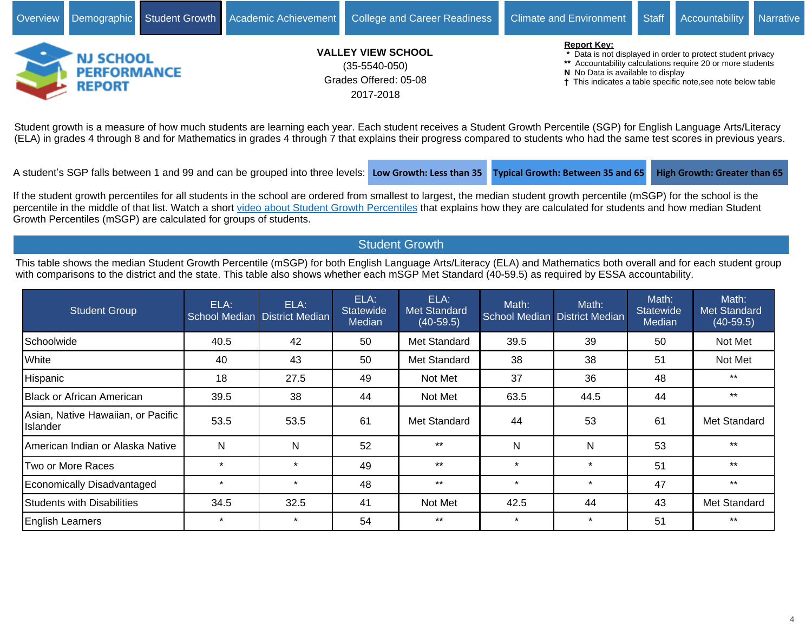

(ELA) in grades 4 through 8 and for Mathematics in grades 4 through 7 that explains their progress compared to students who had the same test scores in previous years.

A student's SGP falls between 1 and 99 and can be grouped into three levels: Low Growth: Less than 35 **Typical Growth: Between 35 and 65** High Growth: Greater than 65

If the student growth percentiles for all students in the school are ordered from smallest to largest, the median student growth percentile (mSGP) for the school is the percentile in the middle of that list. Watch a short [video about Student Growth Percentiles](http://survey.pcgus.com/njgrowth/player.html) that explains how they are calculated for students and how median Student Growth Percentiles (mSGP) are calculated for groups of students.

# Student Growth

This table shows the median Student Growth Percentile (mSGP) for both English Language Arts/Literacy (ELA) and Mathematics both overall and for each student group with comparisons to the district and the state. This table also shows whether each mSGP Met Standard (40-59.5) as required by ESSA accountability.

| <b>Student Group</b>                           | ELA:    | ELA:<br>School Median District Median | ELA:<br><b>Statewide</b><br><b>Median</b> | ELA:<br><b>Met Standard</b><br>$(40-59.5)$ | Math:   | Math:<br>School Median District Median | Math:<br><b>Statewide</b><br>Median | Math:<br>Met Standard<br>$(40-59.5)$ |
|------------------------------------------------|---------|---------------------------------------|-------------------------------------------|--------------------------------------------|---------|----------------------------------------|-------------------------------------|--------------------------------------|
| <b>Schoolwide</b>                              | 40.5    | 42                                    | 50                                        | Met Standard                               | 39.5    | 39                                     | 50                                  | Not Met                              |
| White                                          | 40      | 43                                    | 50                                        | Met Standard                               | 38      | 38                                     | 51                                  | Not Met                              |
| Hispanic                                       | 18      | 27.5                                  | 49                                        | Not Met                                    | 37      | 36                                     | 48                                  | $***$                                |
| <b>IBlack or African American</b>              | 39.5    | 38                                    | 44                                        | Not Met                                    | 63.5    | 44.5                                   | 44                                  | $***$                                |
| Asian, Native Hawaiian, or Pacific<br>Islander | 53.5    | 53.5                                  | 61                                        | Met Standard                               | 44      | 53                                     | 61                                  | Met Standard                         |
| American Indian or Alaska Native               | N       | N                                     | 52                                        | $***$                                      | N       | N                                      | 53                                  | $***$                                |
| lTwo or More Races                             | $\star$ | $\star$                               | 49                                        | $***$                                      | $\star$ | $\star$                                | 51                                  | $***$                                |
| Economically Disadvantaged                     | $\star$ | $\star$                               | 48                                        | $***$                                      | $\star$ | $\star$                                | 47                                  | $***$                                |
| Students with Disabilities                     | 34.5    | 32.5                                  | 41                                        | Not Met                                    | 42.5    | 44                                     | 43                                  | Met Standard                         |
| <b>English Learners</b>                        | $\star$ | $\star$                               | 54                                        | $***$                                      | $\star$ | $\star$                                | 51                                  | $***$                                |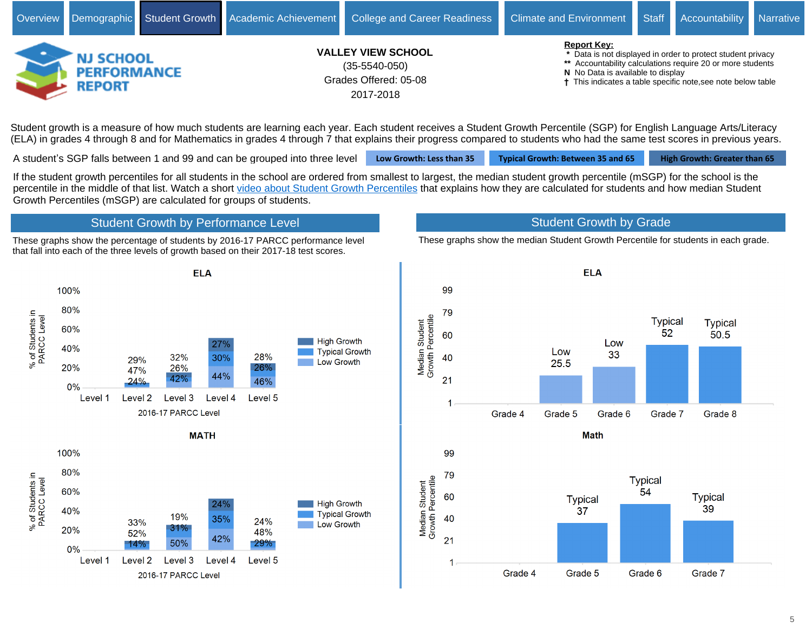

Student growth is a measure of how much students are learning each year. Each student receives a Student Growth Percentile (SGP) for English Language Arts/Literacy (ELA) in grades 4 through 8 and for Mathematics in grades 4 through 7 that explains their progress compared to students who had the same test scores in previous years.

A student's SGP falls between 1 and 99 and can be grouped into three level **Low Growth: Less than 35 Typical Growth: Between 35 and 65** High Growth: Greater than 65

If the student growth percentiles for all students in the school are ordered from smallest to largest, the median student growth percentile (mSGP) for the school is the percentile in the middle of that list. Watch a short [video about Student Growth Percentiles](http://survey.pcgus.com/njgrowth/player.html) that explains how they are calculated for students and how median Student Growth Percentiles (mSGP) are calculated for groups of students.

# Student Growth by Performance Level

These graphs show the percentage of students by 2016-17 PARCC performance level that fall into each of the three levels of growth based on their 2017-18 test scores.



These graphs show the median Student Growth Percentile for students in each grade.



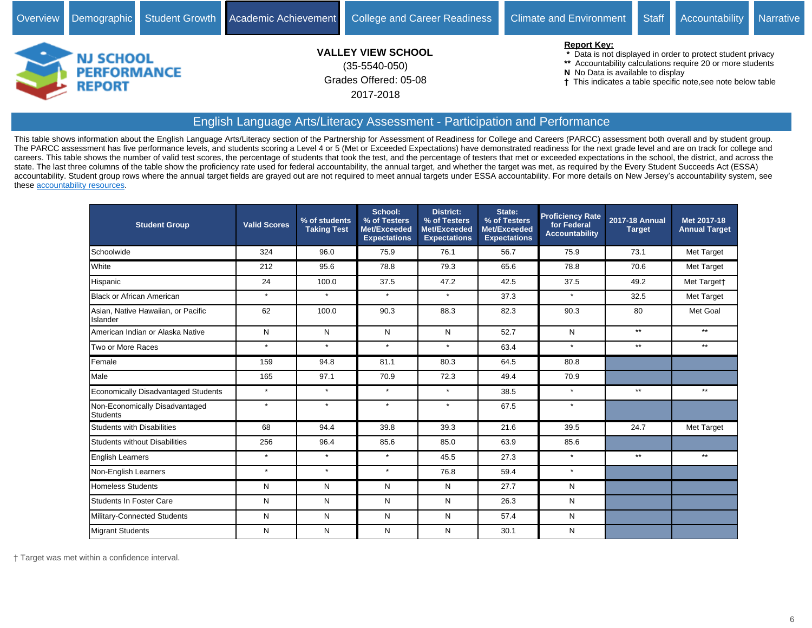

#### English Language Arts/Literacy Assessment - Participation and Performance

This table shows information about the English Language Arts/Literacy section of the Partnership for Assessment of Readiness for College and Careers (PARCC) assessment both overall and by student group. The PARCC assessment has five performance levels, and students scoring a Level 4 or 5 (Met or Exceeded Expectations) have demonstrated readiness for the next grade level and are on track for college and careers. This table shows the number of valid test scores, the percentage of students that took the test, and the percentage of testers that met or exceeded expectations in the school, the district, and across the state. The last three columns of the table show the proficiency rate used for federal accountability, the annual target, and whether the target was met, as required by the Every Student Succeeds Act (ESSA) accountability. Student group rows where the annual target fields are grayed out are not required to meet annual targets under ESSA accountability. For more details on New Jersey's accountability system, see these [accountability resources.](https://www.state.nj.us/education/title1/accountability/progress/18/)

| <b>Student Group</b>                              | <b>Valid Scores</b> | % of students<br><b>Taking Test</b> | School:<br>% of Testers<br>Met/Exceeded<br><b>Expectations</b> | <b>District:</b><br>% of Testers<br>Met/Exceeded<br><b>Expectations</b> | State:<br>% of Testers<br>Met/Exceeded<br><b>Expectations</b> | <b>Proficiency Rate</b><br>for Federal<br><b>Accountability</b> | 2017-18 Annual<br><b>Target</b> | Met 2017-18<br><b>Annual Target</b> |
|---------------------------------------------------|---------------------|-------------------------------------|----------------------------------------------------------------|-------------------------------------------------------------------------|---------------------------------------------------------------|-----------------------------------------------------------------|---------------------------------|-------------------------------------|
| Schoolwide                                        | 324                 | 96.0                                | 75.9                                                           | 76.1                                                                    | 56.7                                                          | 75.9                                                            | 73.1                            | <b>Met Target</b>                   |
| White                                             | 212                 | 95.6                                | 78.8                                                           | 79.3                                                                    | 65.6                                                          | 78.8                                                            | 70.6                            | Met Target                          |
| Hispanic                                          | 24                  | 100.0                               | 37.5                                                           | 47.2                                                                    | 42.5                                                          | 37.5                                                            | 49.2                            | Met Targett                         |
| <b>Black or African American</b>                  | $\star$             | $\star$                             | $\star$                                                        | $\star$                                                                 | 37.3                                                          | $\star$                                                         | 32.5                            | Met Target                          |
| Asian, Native Hawaiian, or Pacific<br>Islander    | 62                  | 100.0                               | 90.3                                                           | 88.3                                                                    | 82.3                                                          | 90.3                                                            | 80                              | Met Goal                            |
| American Indian or Alaska Native                  | N                   | N                                   | N                                                              | N                                                                       | 52.7                                                          | N                                                               | $**$                            | $***$                               |
| Two or More Races                                 | $\star$             | $\star$                             | $\star$                                                        | $\star$                                                                 | 63.4                                                          | $\star$                                                         | $***$                           | $***$                               |
| Female                                            | 159                 | 94.8                                | 81.1                                                           | 80.3                                                                    | 64.5                                                          | 80.8                                                            |                                 |                                     |
| Male                                              | 165                 | 97.1                                | 70.9                                                           | 72.3                                                                    | 49.4                                                          | 70.9                                                            |                                 |                                     |
| Economically Disadvantaged Students               | $\star$             | $\star$                             | $\star$                                                        | $\star$                                                                 | 38.5                                                          | $\star$                                                         | $**$                            | $***$                               |
| Non-Economically Disadvantaged<br><b>Students</b> | $\star$             | $\star$                             | $\star$                                                        | $\star$                                                                 | 67.5                                                          | $\star$                                                         |                                 |                                     |
| <b>Students with Disabilities</b>                 | 68                  | 94.4                                | 39.8                                                           | 39.3                                                                    | 21.6                                                          | 39.5                                                            | 24.7                            | <b>Met Target</b>                   |
| <b>Students without Disabilities</b>              | 256                 | 96.4                                | 85.6                                                           | 85.0                                                                    | 63.9                                                          | 85.6                                                            |                                 |                                     |
| <b>English Learners</b>                           | $\star$             | $\star$                             | $\star$                                                        | 45.5                                                                    | 27.3                                                          | $\star$                                                         | $***$                           | $**$                                |
| Non-English Learners                              | $\star$             | $\star$                             | $\star$                                                        | 76.8                                                                    | 59.4                                                          | $\star$                                                         |                                 |                                     |
| <b>Homeless Students</b>                          | N                   | N                                   | N                                                              | N                                                                       | 27.7                                                          | N                                                               |                                 |                                     |
| Students In Foster Care                           | N                   | N                                   | N                                                              | N                                                                       | 26.3                                                          | N                                                               |                                 |                                     |
| Military-Connected Students                       | N                   | N                                   | N                                                              | N                                                                       | 57.4                                                          | N                                                               |                                 |                                     |
| Migrant Students                                  | N                   | N                                   | N                                                              | N                                                                       | 30.1                                                          | N                                                               |                                 |                                     |

Target was met within a confidence interval.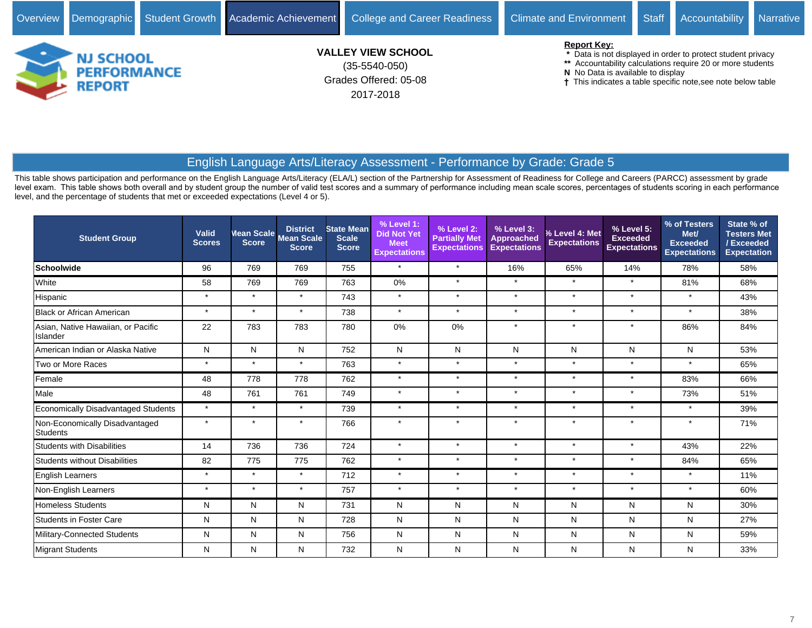

## English Language Arts/Literacy Assessment - Performance by Grade: Grade 5

| <b>Student Group</b>                              | Valid<br><b>Scores</b> | <b>Score</b> | <b>District</b><br>Mean Scale Mean Scale<br><b>Score</b> | <b>State Mean</b><br><b>Scale</b><br><b>Score</b> | % Level 1:<br><b>Did Not Yet</b><br><b>Meet</b><br><b>Expectations</b> | % Level 2:<br><b>Partially Met</b><br><b>Expectations</b> | % Level 3:<br>Approached<br><b>Expectations</b> | % Level 4: Met<br><b>Expectations</b> | % Level 5:<br><b>Exceeded</b><br><b>Expectations</b> | % of Testers<br>Met/<br><b>Exceeded</b><br><b>Expectations</b> | State % of<br><b>Testers Met</b><br>/Exceeded<br><b>Expectation</b> |
|---------------------------------------------------|------------------------|--------------|----------------------------------------------------------|---------------------------------------------------|------------------------------------------------------------------------|-----------------------------------------------------------|-------------------------------------------------|---------------------------------------|------------------------------------------------------|----------------------------------------------------------------|---------------------------------------------------------------------|
| <b>Schoolwide</b>                                 | 96                     | 769          | 769                                                      | 755                                               | $\star$                                                                | $\star$                                                   | 16%                                             | 65%                                   | 14%                                                  | 78%                                                            | 58%                                                                 |
| White                                             | 58                     | 769          | 769                                                      | 763                                               | 0%                                                                     | $\star$                                                   | $\star$                                         | $\star$                               | $\star$                                              | 81%                                                            | 68%                                                                 |
| Hispanic                                          | $\star$                | $\star$      | $\star$                                                  | 743                                               | $\star$                                                                | $\star$                                                   | $\star$                                         | $\star$                               | $\star$                                              | $\star$                                                        | 43%                                                                 |
| <b>Black or African American</b>                  | $\star$                | $\star$      | $\star$                                                  | 738                                               | $\star$                                                                | $\star$                                                   | $\star$                                         | $\star$                               | $\star$                                              | $\star$                                                        | 38%                                                                 |
| Asian, Native Hawaiian, or Pacific<br>Islander    | 22                     | 783          | 783                                                      | 780                                               | 0%                                                                     | $0\%$                                                     | $\star$                                         | $\star$                               | $\star$                                              | 86%                                                            | 84%                                                                 |
| American Indian or Alaska Native                  | N                      | N            | N                                                        | 752                                               | N                                                                      | N                                                         | N                                               | N                                     | N                                                    | N                                                              | 53%                                                                 |
| Two or More Races                                 | $\star$                | $\star$      | $\star$                                                  | 763                                               | $\star$                                                                | $\star$                                                   | $\star$                                         | $\star$                               | $\star$                                              | $\star$                                                        | 65%                                                                 |
| Female                                            | 48                     | 778          | 778                                                      | 762                                               | $\star$                                                                | $\star$                                                   | $\star$                                         | $\star$                               | $\star$                                              | 83%                                                            | 66%                                                                 |
| Male                                              | 48                     | 761          | 761                                                      | 749                                               | $\star$                                                                | $\star$                                                   | $\star$                                         | $\star$                               | $\star$                                              | 73%                                                            | 51%                                                                 |
| <b>Economically Disadvantaged Students</b>        | $\star$                | $\star$      | $\star$                                                  | 739                                               | $\star$                                                                | $\star$                                                   | $\star$                                         | $\star$                               | $\star$                                              | $\star$                                                        | 39%                                                                 |
| Non-Economically Disadvantaged<br><b>Students</b> | $\star$                | $\star$      | $\star$                                                  | 766                                               | $\star$                                                                | $\ddot{\phantom{1}}$                                      | $\star$                                         | $\star$                               | $\star$                                              | $\star$                                                        | 71%                                                                 |
| <b>Students with Disabilities</b>                 | 14                     | 736          | 736                                                      | 724                                               | $\star$                                                                | $\star$                                                   | $\star$                                         | $\star$                               | $\star$                                              | 43%                                                            | 22%                                                                 |
| <b>Students without Disabilities</b>              | 82                     | 775          | 775                                                      | 762                                               | $\star$                                                                | $\star$                                                   | $\star$                                         | $\star$                               | $\star$                                              | 84%                                                            | 65%                                                                 |
| <b>English Learners</b>                           | $\star$                | $\star$      | $\star$                                                  | 712                                               | $\star$                                                                | $\star$                                                   | $\star$                                         | $\star$                               | $\star$                                              | $\star$                                                        | 11%                                                                 |
| Non-English Learners                              | $\star$                | $\star$      | $\star$                                                  | 757                                               | $\star$                                                                | $\star$                                                   | $\star$                                         | $\star$                               | $\star$                                              | $\star$                                                        | 60%                                                                 |
| <b>Homeless Students</b>                          | N                      | N            | N                                                        | 731                                               | N                                                                      | N                                                         | N                                               | N                                     | N                                                    | Ν                                                              | 30%                                                                 |
| <b>Students in Foster Care</b>                    | N                      | N            | N                                                        | 728                                               | N                                                                      | N                                                         | N                                               | N                                     | N                                                    | N                                                              | 27%                                                                 |
| Military-Connected Students                       | N                      | N            | N                                                        | 756                                               | N                                                                      | N                                                         | N                                               | N                                     | N                                                    | N                                                              | 59%                                                                 |
| Migrant Students                                  | N                      | N            | N                                                        | 732                                               | N                                                                      | N                                                         | N                                               | N                                     | N                                                    | N                                                              | 33%                                                                 |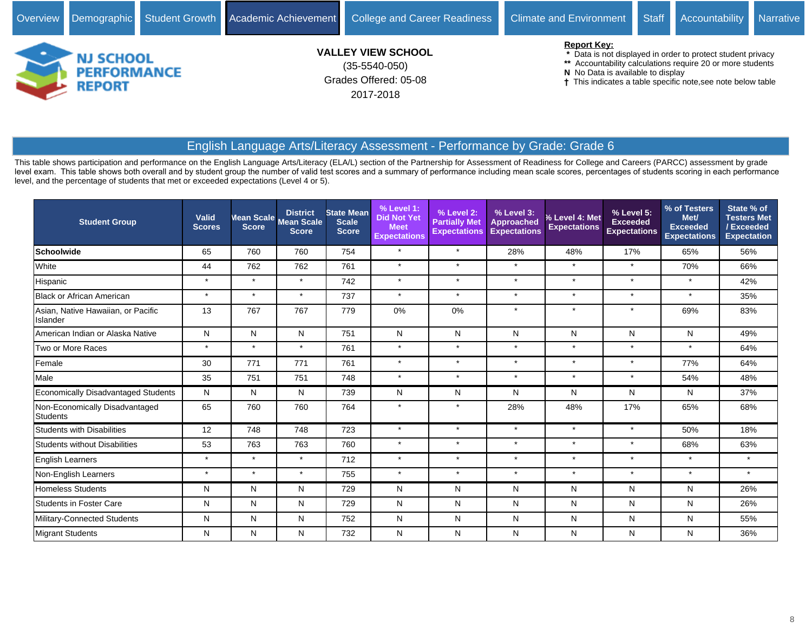

# English Language Arts/Literacy Assessment - Performance by Grade: Grade 6

2017-2018

| <b>Student Group</b>                              | Valid<br><b>Scores</b> | Mean Scale<br><b>Score</b> | <b>District</b><br><b>Mean Scale</b><br><b>Score</b> | <b>State Mean</b><br><b>Scale</b><br><b>Score</b> | % Level 1:<br><b>Did Not Yet</b><br><b>Meet</b><br><b>Expectations</b> | % Level 2:<br><b>Partially Met</b><br><b>Expectations</b> | % Level 3:<br><b>Approached</b><br><b>Expectations</b> | % Level 4: Met<br><b>Expectations</b> | % Level 5:<br><b>Exceeded</b><br><b>Expectations</b> | % of Testers<br>Met/<br><b>Exceeded</b><br><b>Expectations</b> | State % of<br><b>Testers Met</b><br>/Exceeded<br><b>Expectation</b> |
|---------------------------------------------------|------------------------|----------------------------|------------------------------------------------------|---------------------------------------------------|------------------------------------------------------------------------|-----------------------------------------------------------|--------------------------------------------------------|---------------------------------------|------------------------------------------------------|----------------------------------------------------------------|---------------------------------------------------------------------|
| <b>Schoolwide</b>                                 | 65                     | 760                        | 760                                                  | 754                                               | $\star$                                                                | $\star$                                                   | 28%                                                    | 48%                                   | 17%                                                  | 65%                                                            | 56%                                                                 |
| White                                             | 44                     | 762                        | 762                                                  | 761                                               | $\star$                                                                | $\star$                                                   | $\star$                                                | $\star$                               | $\star$                                              | 70%                                                            | 66%                                                                 |
| Hispanic                                          | $\star$                | $\star$                    | $\star$                                              | 742                                               | $\star$                                                                | $\star$                                                   | $\star$                                                | $\star$                               | $\star$                                              | $\star$                                                        | 42%                                                                 |
| Black or African American                         | $\star$                | $\star$                    | $\star$                                              | 737                                               | $\star$                                                                | $\star$                                                   | $\star$                                                | $\star$                               | $\star$                                              | $\star$                                                        | 35%                                                                 |
| Asian, Native Hawaiian, or Pacific<br>Islander    | 13                     | 767                        | 767                                                  | 779                                               | 0%                                                                     | 0%                                                        | $\star$                                                | $\star$                               | $\star$                                              | 69%                                                            | 83%                                                                 |
| American Indian or Alaska Native                  | N                      | N                          | N                                                    | 751                                               | N                                                                      | N                                                         | N                                                      | N                                     | N                                                    | N                                                              | 49%                                                                 |
| Two or More Races                                 | $\star$                | $\star$                    | $\star$                                              | 761                                               | $\star$                                                                | $\star$                                                   | $\star$                                                | $\star$                               | $\star$                                              | $\star$                                                        | 64%                                                                 |
| Female                                            | 30                     | 771                        | 771                                                  | 761                                               | $\star$                                                                | $\star$                                                   | $\star$                                                | $\star$                               | $\star$                                              | 77%                                                            | 64%                                                                 |
| Male                                              | 35                     | 751                        | 751                                                  | 748                                               | $\star$                                                                | $\star$                                                   | $\star$                                                | $\star$                               | $\star$                                              | 54%                                                            | 48%                                                                 |
| Economically Disadvantaged Students               | N                      | N                          | N                                                    | 739                                               | N                                                                      | N                                                         | N                                                      | N                                     | N                                                    | N                                                              | 37%                                                                 |
| Non-Economically Disadvantaged<br><b>Students</b> | 65                     | 760                        | 760                                                  | 764                                               | $\star$                                                                | $\star$                                                   | 28%                                                    | 48%                                   | 17%                                                  | 65%                                                            | 68%                                                                 |
| <b>Students with Disabilities</b>                 | 12                     | 748                        | 748                                                  | 723                                               | $\star$                                                                | $\star$                                                   | $\star$                                                | $\star$                               | $\star$                                              | 50%                                                            | 18%                                                                 |
| <b>Students without Disabilities</b>              | 53                     | 763                        | 763                                                  | 760                                               | $\star$                                                                | $\star$                                                   | $\star$                                                | $\star$                               | $\star$                                              | 68%                                                            | 63%                                                                 |
| <b>English Learners</b>                           | $\star$                | $\star$                    | $\star$                                              | 712                                               | $\star$                                                                | $\star$                                                   | $\star$                                                | $\star$                               | $\star$                                              | $\star$                                                        | $\star$                                                             |
| Non-English Learners                              | $\star$                | $\star$                    | $\star$                                              | 755                                               | $\star$                                                                | $\star$                                                   | $\star$                                                | $\star$                               | $\star$                                              | $\star$                                                        | $\star$                                                             |
| Homeless Students                                 | N                      | N                          | N                                                    | 729                                               | N                                                                      | N                                                         | N                                                      | N                                     | N                                                    | N                                                              | 26%                                                                 |
| <b>Students in Foster Care</b>                    | N                      | N                          | N                                                    | 729                                               | $\mathsf{N}$                                                           | N                                                         | N                                                      | N                                     | $\mathsf{N}$                                         | N                                                              | 26%                                                                 |
| Military-Connected Students                       | N                      | N                          | N                                                    | 752                                               | N                                                                      | N                                                         | N                                                      | N                                     | N                                                    | Ν                                                              | 55%                                                                 |
| Migrant Students                                  | N                      | N                          | N                                                    | 732                                               | N                                                                      | N                                                         | N                                                      | N                                     | N                                                    | N                                                              | 36%                                                                 |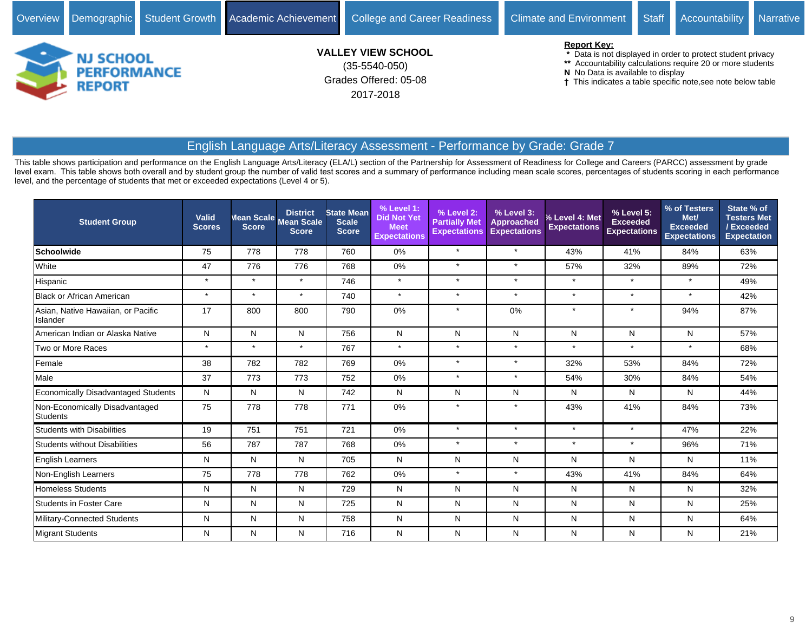

2017-2018

<sup>†</sup> This indicates a table specific note, see note below table

# English Language Arts/Literacy Assessment - Performance by Grade: Grade 7

| <b>Student Group</b>                              | Valid<br><b>Scores</b> | Mean Scale<br><b>Score</b> | <b>District</b><br><b>Mean Scale</b><br><b>Score</b> | <b>State Mean</b><br><b>Scale</b><br><b>Score</b> | % Level 1:<br><b>Did Not Yet</b><br><b>Meet</b><br><b>Expectations</b> | % Level 2:<br><b>Partially Met</b><br><b>Expectations</b> | % Level 3:<br>Approached<br><b>Expectations</b> | % Level 4: Met<br><b>Expectations</b> | % Level 5:<br><b>Exceeded</b><br><b>Expectations</b> | % of Testers<br>Met/<br><b>Exceeded</b><br><b>Expectations</b> | State % of<br><b>Testers Met</b><br>/Exceeded<br><b>Expectation</b> |
|---------------------------------------------------|------------------------|----------------------------|------------------------------------------------------|---------------------------------------------------|------------------------------------------------------------------------|-----------------------------------------------------------|-------------------------------------------------|---------------------------------------|------------------------------------------------------|----------------------------------------------------------------|---------------------------------------------------------------------|
| <b>Schoolwide</b>                                 | 75                     | 778                        | 778                                                  | 760                                               | 0%                                                                     | $\star$                                                   | $\star$                                         | 43%                                   | 41%                                                  | 84%                                                            | 63%                                                                 |
| White                                             | 47                     | 776                        | 776                                                  | 768                                               | 0%                                                                     | $\star$                                                   | $\star$                                         | 57%                                   | 32%                                                  | 89%                                                            | 72%                                                                 |
| Hispanic                                          | $\star$                | $\star$                    | $\star$                                              | 746                                               | $\star$                                                                | $\star$                                                   | $\star$                                         | $\star$                               | $\star$                                              | $\star$                                                        | 49%                                                                 |
| <b>Black or African American</b>                  | $\star$                | $\star$                    | $\star$                                              | 740                                               | $\star$                                                                | $\star$                                                   | $\star$                                         | $\star$                               | $\star$                                              | $\star$                                                        | 42%                                                                 |
| Asian, Native Hawaiian, or Pacific<br>Islander    | 17                     | 800                        | 800                                                  | 790                                               | 0%                                                                     | $\star$                                                   | 0%                                              | $\star$                               | $\star$                                              | 94%                                                            | 87%                                                                 |
| American Indian or Alaska Native                  | N                      | N                          | N                                                    | 756                                               | N                                                                      | N                                                         | N                                               | N                                     | N                                                    | N                                                              | 57%                                                                 |
| Two or More Races                                 | $\star$                | $\star$                    | $\star$                                              | 767                                               | $\star$                                                                | $\star$                                                   | $\star$                                         | $\star$                               | $\star$                                              | $\star$                                                        | 68%                                                                 |
| Female                                            | 38                     | 782                        | 782                                                  | 769                                               | 0%                                                                     | $\star$                                                   | $\star$                                         | 32%                                   | 53%                                                  | 84%                                                            | 72%                                                                 |
| Male                                              | 37                     | 773                        | 773                                                  | 752                                               | 0%                                                                     | $\star$                                                   | $\star$                                         | 54%                                   | 30%                                                  | 84%                                                            | 54%                                                                 |
| <b>Economically Disadvantaged Students</b>        | N                      | N                          | N                                                    | 742                                               | N                                                                      | N                                                         | N                                               | N                                     | N                                                    | N                                                              | 44%                                                                 |
| Non-Economically Disadvantaged<br><b>Students</b> | 75                     | 778                        | 778                                                  | 771                                               | 0%                                                                     |                                                           | $\star$                                         | 43%                                   | 41%                                                  | 84%                                                            | 73%                                                                 |
| <b>Students with Disabilities</b>                 | 19                     | 751                        | 751                                                  | 721                                               | 0%                                                                     | $\star$                                                   | $\star$                                         | $\star$                               | $\star$                                              | 47%                                                            | 22%                                                                 |
| <b>Students without Disabilities</b>              | 56                     | 787                        | 787                                                  | 768                                               | $0\%$                                                                  | $\star$                                                   | $\star$                                         | $\star$                               | $\star$                                              | 96%                                                            | 71%                                                                 |
| <b>English Learners</b>                           | N                      | N                          | N                                                    | 705                                               | N                                                                      | N                                                         | N                                               | N                                     | N                                                    | N                                                              | 11%                                                                 |
| Non-English Learners                              | 75                     | 778                        | 778                                                  | 762                                               | $0\%$                                                                  | $\star$                                                   | $\star$                                         | 43%                                   | 41%                                                  | 84%                                                            | 64%                                                                 |
| <b>Homeless Students</b>                          | N                      | N                          | N                                                    | 729                                               | Ν                                                                      | N                                                         | N                                               | N                                     | N                                                    | N                                                              | 32%                                                                 |
| <b>Students in Foster Care</b>                    | N                      | N                          | N                                                    | 725                                               | N                                                                      | N                                                         | N                                               | N                                     | N                                                    | N                                                              | 25%                                                                 |
| Military-Connected Students                       | N                      | N                          | N                                                    | 758                                               | N                                                                      | N                                                         | N                                               | N                                     | N                                                    | N                                                              | 64%                                                                 |
| Migrant Students                                  | N                      | N                          | N                                                    | 716                                               | N                                                                      | N                                                         | N                                               | N                                     | N                                                    | N                                                              | 21%                                                                 |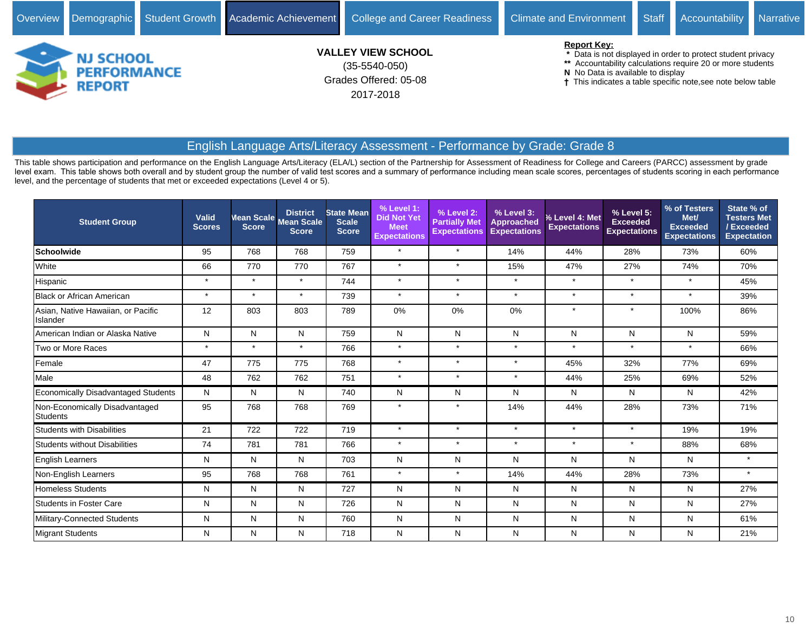

2017-2018

This indicates a table specific note,see note below table

# English Language Arts/Literacy Assessment - Performance by Grade: Grade 8

| <b>Student Group</b>                           | Valid<br><b>Scores</b> | Mean Scale<br><b>Score</b> | <b>District</b><br><b>Mean Scale</b><br><b>Score</b> | <b>State Mean</b><br><b>Scale</b><br><b>Score</b> | % Level 1:<br><b>Did Not Yet</b><br><b>Meet</b><br><b>Expectations</b> | % Level 2:<br><b>Partially Met</b><br><b>Expectations</b> | % Level 3:<br>Approached<br><b>Expectations</b> | % Level 4: Met<br><b>Expectations</b> | % Level 5:<br><b>Exceeded</b><br><b>Expectations</b> | % of Testers<br>Met/<br><b>Exceeded</b><br><b>Expectations</b> | State % of<br><b>Testers Met</b><br>/Exceeded<br><b>Expectation</b> |
|------------------------------------------------|------------------------|----------------------------|------------------------------------------------------|---------------------------------------------------|------------------------------------------------------------------------|-----------------------------------------------------------|-------------------------------------------------|---------------------------------------|------------------------------------------------------|----------------------------------------------------------------|---------------------------------------------------------------------|
| <b>Schoolwide</b>                              | 95                     | 768                        | 768                                                  | 759                                               | $\star$                                                                | $\star$                                                   | 14%                                             | 44%                                   | 28%                                                  | 73%                                                            | 60%                                                                 |
| White                                          | 66                     | 770                        | 770                                                  | 767                                               | $\star$                                                                | $\star$                                                   | 15%                                             | 47%                                   | 27%                                                  | 74%                                                            | 70%                                                                 |
| Hispanic                                       | $\star$                | $\star$                    | $\star$                                              | 744                                               | $\star$                                                                | $\star$                                                   | $\star$                                         | $\star$                               | $\star$                                              | $\star$                                                        | 45%                                                                 |
| <b>Black or African American</b>               | $\star$                | $\star$                    | $\star$                                              | 739                                               | $\star$                                                                | $\star$                                                   | $\star$                                         | $\star$                               | $\star$                                              | $\star$                                                        | 39%                                                                 |
| Asian, Native Hawaiian, or Pacific<br>Islander | 12                     | 803                        | 803                                                  | 789                                               | 0%                                                                     | 0%                                                        | 0%                                              | $\star$                               | $\star$                                              | 100%                                                           | 86%                                                                 |
| American Indian or Alaska Native               | N                      | N                          | N                                                    | 759                                               | N                                                                      | $\mathsf{N}$                                              | N                                               | N                                     | ${\sf N}$                                            | N                                                              | 59%                                                                 |
| Two or More Races                              | $\star$                | $\star$                    | $\star$                                              | 766                                               | $\star$                                                                | $\star$                                                   | $\star$                                         | $\star$                               | $\star$                                              | $\star$                                                        | 66%                                                                 |
| Female                                         | 47                     | 775                        | 775                                                  | 768                                               | $\star$                                                                | $\star$                                                   | $\star$                                         | 45%                                   | 32%                                                  | 77%                                                            | 69%                                                                 |
| Male                                           | 48                     | 762                        | 762                                                  | 751                                               | $\star$                                                                | $\star$                                                   | $\star$                                         | 44%                                   | 25%                                                  | 69%                                                            | 52%                                                                 |
| <b>Economically Disadvantaged Students</b>     | N                      | N                          | N                                                    | 740                                               | N                                                                      | N                                                         | N                                               | N                                     | N                                                    | N                                                              | 42%                                                                 |
| Non-Economically Disadvantaged<br>Students     | 95                     | 768                        | 768                                                  | 769                                               | $\star$                                                                | $\star$                                                   | 14%                                             | 44%                                   | 28%                                                  | 73%                                                            | 71%                                                                 |
| <b>Students with Disabilities</b>              | 21                     | 722                        | 722                                                  | 719                                               | $\star$                                                                | $\star$                                                   | $\star$                                         | $\star$                               | $\star$                                              | 19%                                                            | 19%                                                                 |
| <b>Students without Disabilities</b>           | 74                     | 781                        | 781                                                  | 766                                               | $\star$                                                                | $\star$                                                   | $\star$                                         | $\star$                               | $\star$                                              | 88%                                                            | 68%                                                                 |
| <b>English Learners</b>                        | N                      | N                          | N                                                    | 703                                               | N                                                                      | N                                                         | N                                               | N                                     | N                                                    | N                                                              | $\star$                                                             |
| Non-English Learners                           | 95                     | 768                        | 768                                                  | 761                                               | $\star$                                                                | $\star$                                                   | 14%                                             | 44%                                   | 28%                                                  | 73%                                                            | $\star$                                                             |
| <b>Homeless Students</b>                       | N                      | N                          | N                                                    | 727                                               | N                                                                      | N                                                         | N                                               | N                                     | N                                                    | N                                                              | 27%                                                                 |
| <b>Students in Foster Care</b>                 | N                      | N                          | N                                                    | 726                                               | N                                                                      | N                                                         | N                                               | N                                     | N                                                    | N                                                              | 27%                                                                 |
| Military-Connected Students                    | N                      | N                          | N                                                    | 760                                               | N                                                                      | N                                                         | N                                               | N                                     | N                                                    | N                                                              | 61%                                                                 |
| Migrant Students                               | N                      | N                          | N                                                    | 718                                               | ${\sf N}$                                                              | N                                                         | N                                               | N                                     | Ν                                                    | Ν                                                              | 21%                                                                 |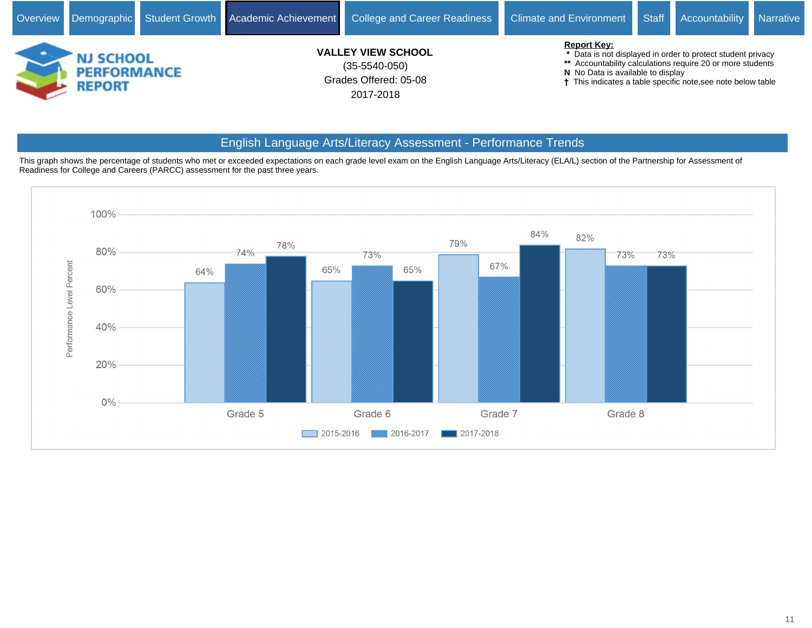

# English Language Arts/Literacy Assessment - Performance Trends

This graph shows the percentage of students who met or exceeded expectations on each grade level exam on the English Language Arts/Literacy (ELA/L) section of the Partnership for Assessment of Readiness for College and Careers (PARCC) assessment for the past three years.

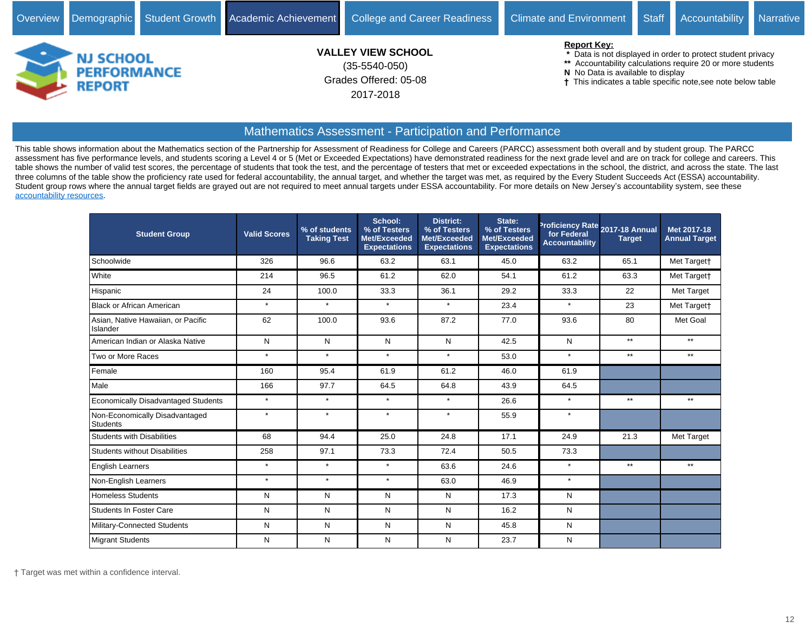- **N** No Data is available to display
- This indicates a table specific note,see note below table

#### Mathematics Assessment - Participation and Performance

Grades Offered: 05-08

2017-2018

This table shows information about the Mathematics section of the Partnership for Assessment of Readiness for College and Careers (PARCC) assessment both overall and by student group. The PARCC assessment has five performance levels, and students scoring a Level 4 or 5 (Met or Exceeded Expectations) have demonstrated readiness for the next grade level and are on track for college and careers. This table shows the number of valid test scores, the percentage of students that took the test, and the percentage of testers that met or exceeded expectations in the school, the district, and across the state. The last three columns of the table show the proficiency rate used for federal accountability, the annual target, and whether the target was met, as required by the Every Student Succeeds Act (ESSA) accountability. Student group rows where the annual target fields are grayed out are not required to meet annual targets under ESSA accountability. For more details on New Jersey's accountability system, see these [accountability resources.](https://www.state.nj.us/education/title1/accountability/progress/18/)

| <b>Student Group</b>                              | <b>Valid Scores</b> | % of students<br><b>Taking Test</b> | School:<br>% of Testers<br>Met/Exceeded<br><b>Expectations</b> | <b>District:</b><br>% of Testers<br>Met/Exceeded<br><b>Expectations</b> | State:<br>% of Testers<br>Met/Exceeded<br><b>Expectations</b> | for Federal<br><b>Accountability</b> | Proficiency Rate 2017-18 Annual<br><b>Target</b> | Met 2017-18<br><b>Annual Target</b> |
|---------------------------------------------------|---------------------|-------------------------------------|----------------------------------------------------------------|-------------------------------------------------------------------------|---------------------------------------------------------------|--------------------------------------|--------------------------------------------------|-------------------------------------|
| Schoolwide                                        | 326                 | 96.6                                | 63.2                                                           | 63.1                                                                    | 45.0                                                          | 63.2                                 | 65.1                                             | Met Target†                         |
| White                                             | 214                 | 96.5                                | 61.2                                                           | 62.0                                                                    | 54.1                                                          | 61.2                                 | 63.3                                             | Met Target†                         |
| Hispanic                                          | 24                  | 100.0                               | 33.3                                                           | 36.1                                                                    | 29.2                                                          | 33.3                                 | 22                                               | Met Target                          |
| <b>Black or African American</b>                  | $\star$             | $\star$                             | $\star$                                                        | $\star$                                                                 | 23.4                                                          | $\star$                              | 23                                               | Met Targett                         |
| Asian, Native Hawaiian, or Pacific<br>Islander    | 62                  | 100.0                               | 93.6                                                           | 87.2                                                                    | 77.0                                                          | 93.6                                 | 80                                               | Met Goal                            |
| American Indian or Alaska Native                  | N                   | N                                   | N                                                              | N                                                                       | 42.5                                                          | $\mathsf{N}$                         | $**$                                             | $***$                               |
| Two or More Races                                 | $\star$             | $\star$                             | $\star$                                                        | $\star$                                                                 | 53.0                                                          | $\star$                              | $***$                                            | $***$                               |
| Female                                            | 160                 | 95.4                                | 61.9                                                           | 61.2                                                                    | 46.0                                                          | 61.9                                 |                                                  |                                     |
| Male                                              | 166                 | 97.7                                | 64.5                                                           | 64.8                                                                    | 43.9                                                          | 64.5                                 |                                                  |                                     |
| <b>Economically Disadvantaged Students</b>        | $\star$             | $\star$                             | $\star$                                                        | $\star$                                                                 | 26.6                                                          | $\star$                              | $**$                                             | $***$                               |
| Non-Economically Disadvantaged<br><b>Students</b> | $\star$             | $\star$                             | $\star$                                                        | $\star$                                                                 | 55.9                                                          | $\star$                              |                                                  |                                     |
| <b>Students with Disabilities</b>                 | 68                  | 94.4                                | 25.0                                                           | 24.8                                                                    | 17.1                                                          | 24.9                                 | 21.3                                             | Met Target                          |
| <b>Students without Disabilities</b>              | 258                 | 97.1                                | 73.3                                                           | 72.4                                                                    | 50.5                                                          | 73.3                                 |                                                  |                                     |
| <b>English Learners</b>                           | $\star$             | $\star$                             | $\star$                                                        | 63.6                                                                    | 24.6                                                          | $\star$                              | $**$                                             | $***$                               |
| Non-English Learners                              | $\star$             | $\star$                             | $\star$                                                        | 63.0                                                                    | 46.9                                                          | $\star$                              |                                                  |                                     |
| <b>Homeless Students</b>                          | N                   | N                                   | N                                                              | N                                                                       | 17.3                                                          | $\mathsf{N}$                         |                                                  |                                     |
| <b>Students In Foster Care</b>                    | N                   | N                                   | N                                                              | N                                                                       | 16.2                                                          | N                                    |                                                  |                                     |
| Military-Connected Students                       | N                   | N                                   | N                                                              | N                                                                       | 45.8                                                          | $\mathsf{N}$                         |                                                  |                                     |
| <b>Migrant Students</b>                           | N                   | N                                   | N                                                              | N                                                                       | 23.7                                                          | N                                    |                                                  |                                     |

Target was met within a confidence interval.

**REPORT**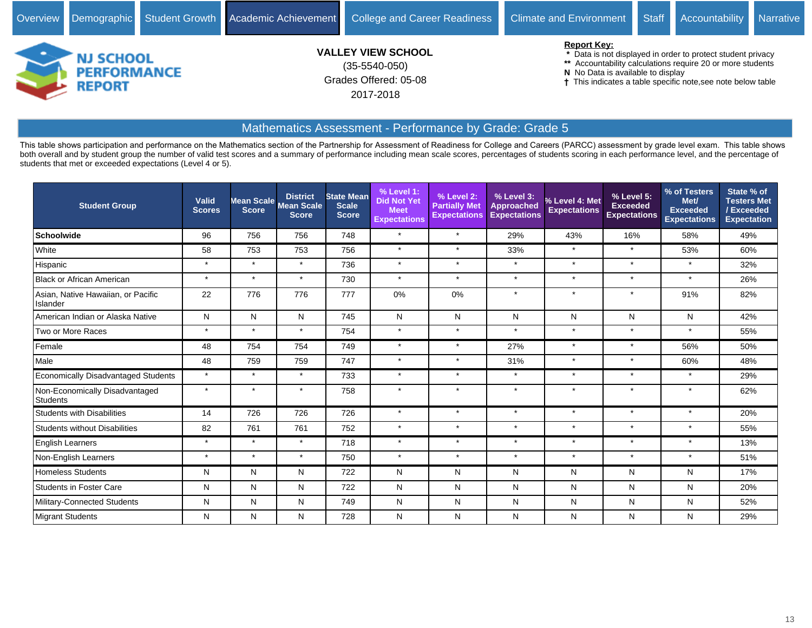

| <b>Student Group</b>                              | Valid<br><b>Scores</b> | Score   | <b>District</b><br>Mean Scale Mean Scale<br><b>Score</b> | <b>State Mean</b><br><b>Scale</b><br><b>Score</b> | % Level 1:<br><b>Did Not Yet</b><br><b>Meet</b><br><b>Expectations</b> | % Level 2:<br><b>Partially Met</b><br><b>Expectations</b> | % Level 3:<br><b>Approached</b><br><b>Expectations</b> | % Level 4: Met<br><b>Expectations</b> | % Level 5:<br><b>Exceeded</b><br><b>Expectations</b> | % of Testers<br>Met/<br>Exceeded<br><b>Expectations</b> | State % of<br><b>Testers Met</b><br>/Exceeded<br><b>Expectation</b> |
|---------------------------------------------------|------------------------|---------|----------------------------------------------------------|---------------------------------------------------|------------------------------------------------------------------------|-----------------------------------------------------------|--------------------------------------------------------|---------------------------------------|------------------------------------------------------|---------------------------------------------------------|---------------------------------------------------------------------|
| <b>Schoolwide</b>                                 | 96                     | 756     | 756                                                      | 748                                               | $\star$                                                                | $\star$                                                   | 29%                                                    | 43%                                   | 16%                                                  | 58%                                                     | 49%                                                                 |
| White                                             | 58                     | 753     | 753                                                      | 756                                               | $\star$                                                                | $\star$                                                   | 33%                                                    | $\star$                               | $\star$                                              | 53%                                                     | 60%                                                                 |
| Hispanic                                          | $\star$                | $\star$ | $\star$                                                  | 736                                               | $\star$                                                                | $\star$                                                   | $\star$                                                | $\star$                               | $\star$                                              | $\star$                                                 | 32%                                                                 |
| <b>Black or African American</b>                  | $\star$                | $\star$ | $\star$                                                  | 730                                               | $\star$                                                                | $\star$                                                   | $\star$                                                | $\star$                               | $\star$                                              | $\star$                                                 | 26%                                                                 |
| Asian, Native Hawaiian, or Pacific<br>Islander    | 22                     | 776     | 776                                                      | 777                                               | 0%                                                                     | 0%                                                        | $\star$                                                | $\star$                               | $\star$                                              | 91%                                                     | 82%                                                                 |
| American Indian or Alaska Native                  | N                      | N       | N                                                        | 745                                               | N                                                                      | N                                                         | N                                                      | N                                     | N                                                    | N                                                       | 42%                                                                 |
| Two or More Races                                 | $\star$                | $\star$ | $\star$                                                  | 754                                               | $\star$                                                                | $\star$                                                   | $\star$                                                | $\star$                               | $\star$                                              | $\star$                                                 | 55%                                                                 |
| Female                                            | 48                     | 754     | 754                                                      | 749                                               | $\star$                                                                | $\star$                                                   | 27%                                                    | $\star$                               | $\star$                                              | 56%                                                     | 50%                                                                 |
| Male                                              | 48                     | 759     | 759                                                      | 747                                               | $\star$                                                                | $\star$                                                   | 31%                                                    | $\star$                               | $\star$                                              | 60%                                                     | 48%                                                                 |
| <b>Economically Disadvantaged Students</b>        | $\star$                | $\star$ | $\star$                                                  | 733                                               | $\star$                                                                | $\star$                                                   | $\star$                                                | $\star$                               | $\star$                                              | $\star$                                                 | 29%                                                                 |
| Non-Economically Disadvantaged<br><b>Students</b> | $\star$                | $\star$ |                                                          | 758                                               | $\star$                                                                | $\star$                                                   | $\star$                                                | $\star$                               | $\star$                                              | $\star$                                                 | 62%                                                                 |
| <b>Students with Disabilities</b>                 | 14                     | 726     | 726                                                      | 726                                               | $\star$                                                                | $\star$                                                   | $\star$                                                | $\star$                               | $\star$                                              | $\star$                                                 | 20%                                                                 |
| <b>Students without Disabilities</b>              | 82                     | 761     | 761                                                      | 752                                               | $\star$                                                                | $\star$                                                   | $\star$                                                | $\star$                               | $\star$                                              | $\star$                                                 | 55%                                                                 |
| <b>English Learners</b>                           | $\star$                | $\star$ | $\star$                                                  | 718                                               | $\star$                                                                | $\star$                                                   | $\star$                                                | $\star$                               | $\star$                                              | $\star$                                                 | 13%                                                                 |
| Non-English Learners                              | $\star$                | $\star$ | $\star$                                                  | 750                                               | $\star$                                                                | $\star$                                                   | $\star$                                                | $\star$                               | $\star$                                              | $\star$                                                 | 51%                                                                 |
| <b>Homeless Students</b>                          | N                      | N       | N                                                        | 722                                               | N                                                                      | N                                                         | N                                                      | N                                     | N                                                    | N                                                       | 17%                                                                 |
| <b>Students in Foster Care</b>                    | N                      | N       | N                                                        | 722                                               | $\mathsf{N}$                                                           | N                                                         | N                                                      | N                                     | N                                                    | N                                                       | 20%                                                                 |
| Military-Connected Students                       | N                      | N       | N                                                        | 749                                               | N                                                                      | N                                                         | N                                                      | N                                     | N                                                    | N                                                       | 52%                                                                 |
| Migrant Students                                  | N                      | N       | N                                                        | 728                                               | N                                                                      | N                                                         | N                                                      | N                                     | N                                                    | N                                                       | 29%                                                                 |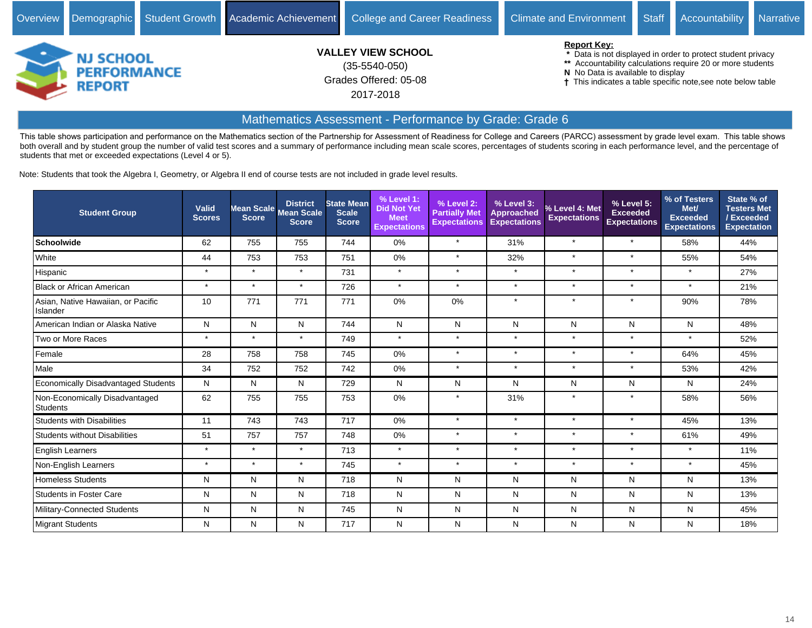

This table shows participation and performance on the Mathematics section of the Partnership for Assessment of Readiness for College and Careers (PARCC) assessment by grade level exam. This table shows both overall and by student group the number of valid test scores and a summary of performance including mean scale scores, percentages of students scoring in each performance level, and the percentage of students that met or exceeded expectations (Level 4 or 5).

Note: Students that took the Algebra I, Geometry, or Algebra II end of course tests are not included in grade level results.

| <b>Student Group</b>                           | <b>Valid</b><br><b>Scores</b> | Mean Scale<br><b>Score</b> | <b>District</b><br><b>Mean Scale</b><br><b>Score</b> | <b>State Mean</b><br><b>Scale</b><br><b>Score</b> | % Level 1:<br><b>Did Not Yet</b><br><b>Meet</b><br><b>Expectations</b> | % Level 2:<br><b>Partially Met</b><br><b>Expectations</b> | % Level 3:<br><b>Approached</b><br><b>Expectations</b> | % Level 4: Met<br><b>Expectations</b> | % Level 5:<br><b>Exceeded</b><br><b>Expectations</b> | % of Testers<br>Met/<br><b>Exceeded</b><br><b>Expectations</b> | State % of<br><b>Testers Met</b><br>/Exceeded<br><b>Expectation</b> |
|------------------------------------------------|-------------------------------|----------------------------|------------------------------------------------------|---------------------------------------------------|------------------------------------------------------------------------|-----------------------------------------------------------|--------------------------------------------------------|---------------------------------------|------------------------------------------------------|----------------------------------------------------------------|---------------------------------------------------------------------|
| Schoolwide                                     | 62                            | 755                        | 755                                                  | 744                                               | 0%                                                                     | $\star$                                                   | 31%                                                    | $\star$                               | $\star$                                              | 58%                                                            | 44%                                                                 |
| White                                          | 44                            | 753                        | 753                                                  | 751                                               | 0%                                                                     | $\star$                                                   | 32%                                                    | $\star$                               | $\star$                                              | 55%                                                            | 54%                                                                 |
| Hispanic                                       | $\star$                       | $\star$                    | $\star$                                              | 731                                               | $\star$                                                                | $\star$                                                   | $\star$                                                | $\star$                               | $\star$                                              | $\star$                                                        | 27%                                                                 |
| Black or African American                      | $\star$                       | $\star$                    | $\star$                                              | 726                                               | $\star$                                                                | $\star$                                                   | $\star$                                                | $\star$                               | $\star$                                              | $\star$                                                        | 21%                                                                 |
| Asian, Native Hawaiian, or Pacific<br>Islander | 10                            | 771                        | 771                                                  | 771                                               | 0%                                                                     | 0%                                                        | $\star$                                                | $\star$                               | $\star$                                              | 90%                                                            | 78%                                                                 |
| American Indian or Alaska Native               | N                             | N                          | N                                                    | 744                                               | N                                                                      | N                                                         | N                                                      | N                                     | N                                                    | N                                                              | 48%                                                                 |
| Two or More Races                              | $\star$                       | $\star$                    | $\star$                                              | 749                                               | $\star$                                                                | $\star$                                                   | $\star$                                                | $\star$                               | $\star$                                              | $\star$                                                        | 52%                                                                 |
| Female                                         | 28                            | 758                        | 758                                                  | 745                                               | 0%                                                                     | $\star$                                                   | $\star$                                                | $\star$                               | $\star$                                              | 64%                                                            | 45%                                                                 |
| Male                                           | 34                            | 752                        | 752                                                  | 742                                               | 0%                                                                     | $\star$                                                   | $\star$                                                | $\star$                               | $\star$                                              | 53%                                                            | 42%                                                                 |
| Economically Disadvantaged Students            | N                             | N                          | N                                                    | 729                                               | N                                                                      | N                                                         | N                                                      | N                                     | N                                                    | N                                                              | 24%                                                                 |
| Non-Economically Disadvantaged<br>Students     | 62                            | 755                        | 755                                                  | 753                                               | 0%                                                                     | $\star$                                                   | 31%                                                    | $\star$                               | $\star$                                              | 58%                                                            | 56%                                                                 |
| Students with Disabilities                     | 11                            | 743                        | 743                                                  | 717                                               | 0%                                                                     | $\star$                                                   | $\star$                                                | $\star$                               | $\star$                                              | 45%                                                            | 13%                                                                 |
| Students without Disabilities                  | 51                            | 757                        | 757                                                  | 748                                               | 0%                                                                     | $\star$                                                   | $\star$                                                | $\star$                               | $\star$                                              | 61%                                                            | 49%                                                                 |
| <b>English Learners</b>                        | $\star$                       | $\star$                    | $\star$                                              | 713                                               | $\star$                                                                | $\star$                                                   | $\star$                                                | $\star$                               | $\star$                                              | $\star$                                                        | 11%                                                                 |
| Non-English Learners                           | $\star$                       | $\star$                    | $\star$                                              | 745                                               | $\star$                                                                | $\star$                                                   | $\star$                                                | $\star$                               | $\star$                                              | $\star$                                                        | 45%                                                                 |
| Homeless Students                              | N                             | N                          | N                                                    | 718                                               | N                                                                      | N                                                         | N                                                      | N                                     | N                                                    | N                                                              | 13%                                                                 |
| Students in Foster Care                        | N                             | N                          | N                                                    | 718                                               | N                                                                      | N                                                         | N                                                      | N                                     | N                                                    | N                                                              | 13%                                                                 |
| Military-Connected Students                    | N                             | N                          | N                                                    | 745                                               | N                                                                      | N                                                         | N                                                      | N                                     | N                                                    | Ν                                                              | 45%                                                                 |
| <b>Migrant Students</b>                        | N                             | N                          | N                                                    | 717                                               | N                                                                      | N                                                         | N                                                      | N                                     | N                                                    | N                                                              | 18%                                                                 |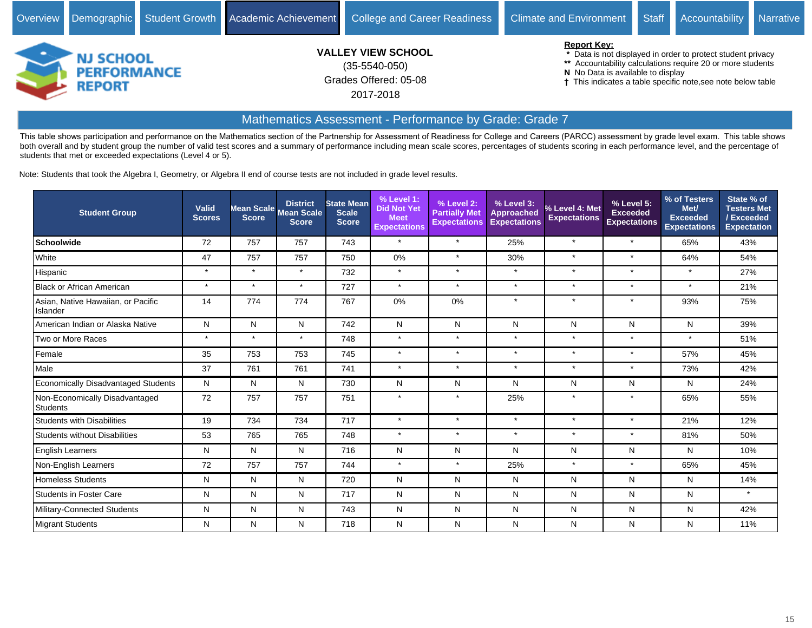

This table shows participation and performance on the Mathematics section of the Partnership for Assessment of Readiness for College and Careers (PARCC) assessment by grade level exam. This table shows both overall and by student group the number of valid test scores and a summary of performance including mean scale scores, percentages of students scoring in each performance level, and the percentage of students that met or exceeded expectations (Level 4 or 5).

Note: Students that took the Algebra I, Geometry, or Algebra II end of course tests are not included in grade level results.

| <b>Student Group</b>                           | <b>Valid</b><br><b>Scores</b> | Mean Scale<br><b>Score</b> | <b>District</b><br><b>Mean Scale</b><br><b>Score</b> | <b>State Mean</b><br><b>Scale</b><br><b>Score</b> | % Level 1:<br><b>Did Not Yet</b><br><b>Meet</b><br><b>Expectations</b> | % Level 2:<br><b>Partially Met</b><br><b>Expectations</b> | % Level 3:<br>Approached<br><b>Expectations</b> | % Level 4: Met<br><b>Expectations</b> | % Level 5:<br><b>Exceeded</b><br><b>Expectations</b> | % of Testers<br>Met/<br><b>Exceeded</b><br><b>Expectations</b> | State % of<br><b>Testers Met</b><br>/Exceeded<br><b>Expectation</b> |
|------------------------------------------------|-------------------------------|----------------------------|------------------------------------------------------|---------------------------------------------------|------------------------------------------------------------------------|-----------------------------------------------------------|-------------------------------------------------|---------------------------------------|------------------------------------------------------|----------------------------------------------------------------|---------------------------------------------------------------------|
| Schoolwide                                     | 72                            | 757                        | 757                                                  | 743                                               | $\star$                                                                | $\star$                                                   | 25%                                             | $\star$                               | $\star$                                              | 65%                                                            | 43%                                                                 |
| White                                          | 47                            | 757                        | 757                                                  | 750                                               | 0%                                                                     | $\star$                                                   | 30%                                             | $\star$                               | $\star$                                              | 64%                                                            | 54%                                                                 |
| Hispanic                                       | $\star$                       | $\star$                    | $\star$                                              | 732                                               | $\star$                                                                | $\star$                                                   | $\star$                                         | $\star$                               | $\star$                                              | $\star$                                                        | 27%                                                                 |
| <b>Black or African American</b>               | $\star$                       | $\star$                    | $\star$                                              | 727                                               | $\star$                                                                | $\star$                                                   | $\star$                                         | $\star$                               | $\star$                                              | $\star$                                                        | 21%                                                                 |
| Asian, Native Hawaiian, or Pacific<br>Islander | 14                            | 774                        | 774                                                  | 767                                               | 0%                                                                     | 0%                                                        | $\star$                                         | $\star$                               | $\star$                                              | 93%                                                            | 75%                                                                 |
| American Indian or Alaska Native               | N                             | N                          | N                                                    | 742                                               | N                                                                      | N                                                         | N                                               | N                                     | N                                                    | N                                                              | 39%                                                                 |
| Two or More Races                              | $\star$                       | $\star$                    | $\star$                                              | 748                                               | $\star$                                                                | $\star$                                                   | $\star$                                         | $\star$                               | $\star$                                              | $\star$                                                        | 51%                                                                 |
| Female                                         | 35                            | 753                        | 753                                                  | 745                                               | $\star$                                                                | $\star$                                                   | $\star$                                         | $\star$                               | $\star$                                              | 57%                                                            | 45%                                                                 |
| Male                                           | 37                            | 761                        | 761                                                  | 741                                               | $\star$                                                                | $\star$                                                   | $\star$                                         | $\star$                               | $\star$                                              | 73%                                                            | 42%                                                                 |
| Economically Disadvantaged Students            | N                             | N                          | N                                                    | 730                                               | N                                                                      | N                                                         | N                                               | N                                     | N                                                    | N                                                              | 24%                                                                 |
| Non-Economically Disadvantaged<br>Students     | 72                            | 757                        | 757                                                  | 751                                               | $\star$                                                                | $\star$                                                   | 25%                                             | $\star$                               | $\star$                                              | 65%                                                            | 55%                                                                 |
| <b>Students with Disabilities</b>              | 19                            | 734                        | 734                                                  | 717                                               | $\star$                                                                | $\star$                                                   | $\star$                                         | $\star$                               | $\star$                                              | 21%                                                            | 12%                                                                 |
| Students without Disabilities                  | 53                            | 765                        | 765                                                  | 748                                               | $\star$                                                                | $\star$                                                   | $\star$                                         | $\star$                               | $\star$                                              | 81%                                                            | 50%                                                                 |
| English Learners                               | N                             | N                          | N                                                    | 716                                               | N                                                                      | N                                                         | N                                               | N                                     | N                                                    | N                                                              | 10%                                                                 |
| Non-English Learners                           | 72                            | 757                        | 757                                                  | 744                                               | $\star$                                                                | $\star$                                                   | 25%                                             | $\star$                               | $\star$                                              | 65%                                                            | 45%                                                                 |
| <b>Homeless Students</b>                       | N                             | N                          | N                                                    | 720                                               | $\mathsf{N}$                                                           | N                                                         | N                                               | N                                     | N                                                    | N                                                              | 14%                                                                 |
| Students in Foster Care                        | N                             | N                          | N                                                    | 717                                               | N                                                                      | N                                                         | N                                               | N                                     | N                                                    | N                                                              | $\star$                                                             |
| Military-Connected Students                    | N                             | N                          | N                                                    | 743                                               | N                                                                      | N                                                         | N                                               | N                                     | N                                                    | N                                                              | 42%                                                                 |
| <b>Migrant Students</b>                        | N                             | N                          | N                                                    | 718                                               | N                                                                      | N                                                         | N                                               | N                                     | N                                                    | N                                                              | 11%                                                                 |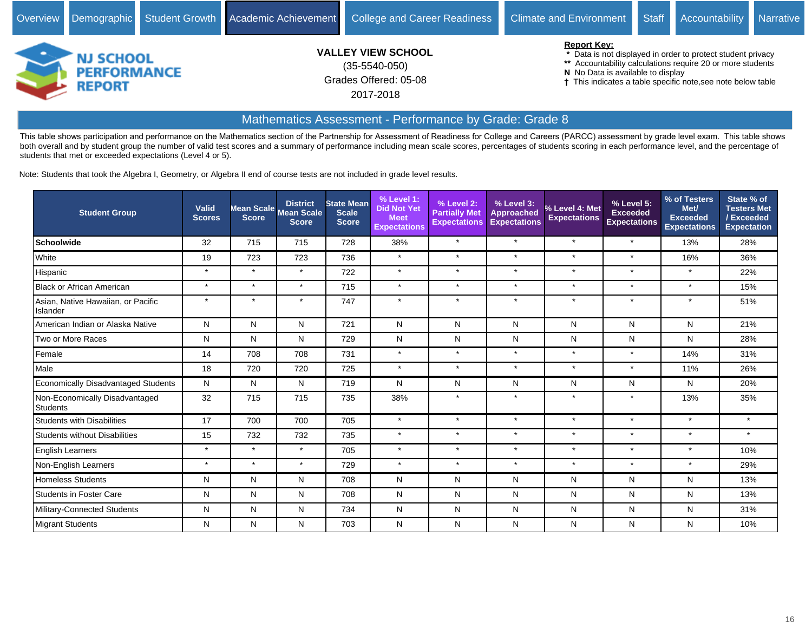

This table shows participation and performance on the Mathematics section of the Partnership for Assessment of Readiness for College and Careers (PARCC) assessment by grade level exam. This table shows both overall and by student group the number of valid test scores and a summary of performance including mean scale scores, percentages of students scoring in each performance level, and the percentage of students that met or exceeded expectations (Level 4 or 5).

Note: Students that took the Algebra I, Geometry, or Algebra II end of course tests are not included in grade level results.

| <b>Student Group</b>                           | <b>Valid</b><br><b>Scores</b> | Mean Scale<br><b>Score</b> | <b>District</b><br><b>Mean Scale</b><br><b>Score</b> | <b>State Mean</b><br><b>Scale</b><br><b>Score</b> | $%$ Level 1:<br><b>Did Not Yet</b><br><b>Meet</b><br><b>Expectations</b> | % Level 2:<br><b>Partially Met</b><br><b>Expectations</b> | % Level 3:<br><b>Approached</b><br><b>Expectations</b> | % Level 4: Met<br><b>Expectations</b> | % Level 5:<br><b>Exceeded</b><br><b>Expectations</b> | % of Testers<br>Met/<br><b>Exceeded</b><br><b>Expectations</b> | State % of<br><b>Testers Met</b><br>/Exceeded<br><b>Expectation</b> |
|------------------------------------------------|-------------------------------|----------------------------|------------------------------------------------------|---------------------------------------------------|--------------------------------------------------------------------------|-----------------------------------------------------------|--------------------------------------------------------|---------------------------------------|------------------------------------------------------|----------------------------------------------------------------|---------------------------------------------------------------------|
| Schoolwide                                     | 32                            | 715                        | 715                                                  | 728                                               | 38%                                                                      | $\star$                                                   | $\star$                                                | $\star$                               | $\star$                                              | 13%                                                            | 28%                                                                 |
| White                                          | 19                            | 723                        | 723                                                  | 736                                               | $\star$                                                                  | $\star$                                                   | $\star$                                                | $\star$                               | $\star$                                              | 16%                                                            | 36%                                                                 |
| Hispanic                                       | $\star$                       | $\star$                    | $\star$                                              | 722                                               | $\star$                                                                  | $\star$                                                   | $\star$                                                | $\star$                               | $\star$                                              | $\star$                                                        | 22%                                                                 |
| <b>Black or African American</b>               | $\star$                       | $\star$                    | $\star$                                              | 715                                               | $\star$                                                                  | $\star$                                                   | $\star$                                                | $\star$                               | $\star$                                              | $\star$                                                        | 15%                                                                 |
| Asian, Native Hawaiian, or Pacific<br>Islander | $\star$                       | $\star$                    | $\ddot{\phantom{1}}$                                 | 747                                               | $\star$                                                                  | $\star$                                                   | $\star$                                                | $\star$                               | $\star$                                              | $\star$                                                        | 51%                                                                 |
| American Indian or Alaska Native               | N                             | N                          | N                                                    | 721                                               | N                                                                        | N                                                         | N                                                      | N                                     | N                                                    | N                                                              | 21%                                                                 |
| Two or More Races                              | N                             | N                          | N                                                    | 729                                               | N                                                                        | N                                                         | N                                                      | N                                     | N                                                    | N                                                              | 28%                                                                 |
| Female                                         | 14                            | 708                        | 708                                                  | 731                                               | $\star$                                                                  | $\star$                                                   | $\star$                                                | $\star$                               | $\star$                                              | 14%                                                            | 31%                                                                 |
| Male                                           | 18                            | 720                        | 720                                                  | 725                                               | $\star$                                                                  | $\star$                                                   | $\star$                                                | $\star$                               | $\star$                                              | 11%                                                            | 26%                                                                 |
| Economically Disadvantaged Students            | N                             | N                          | N                                                    | 719                                               | N                                                                        | N                                                         | N                                                      | N                                     | N                                                    | N                                                              | 20%                                                                 |
| Non-Economically Disadvantaged<br>Students     | 32                            | 715                        | 715                                                  | 735                                               | 38%                                                                      | $\star$                                                   | $\star$                                                | $\star$                               | $\star$                                              | 13%                                                            | 35%                                                                 |
| <b>Students with Disabilities</b>              | 17                            | 700                        | 700                                                  | 705                                               | $\star$                                                                  | $\star$                                                   | $\star$                                                | $\star$                               | $\star$                                              | $\star$                                                        | $\star$                                                             |
| Students without Disabilities                  | 15                            | 732                        | 732                                                  | 735                                               | $\star$                                                                  | $\star$                                                   | $\star$                                                | $\star$                               | $\star$                                              | $\star$                                                        | $\star$                                                             |
| English Learners                               | $\star$                       | $\star$                    | $\star$                                              | 705                                               | $\star$                                                                  | $\star$                                                   | $\star$                                                | $\star$                               | $\star$                                              | $\star$                                                        | 10%                                                                 |
| Non-English Learners                           | $\star$                       | $\star$                    | $\star$                                              | 729                                               | $\star$                                                                  | $\star$                                                   | $\star$                                                | $\star$                               | $\star$                                              | $\star$                                                        | 29%                                                                 |
| <b>Homeless Students</b>                       | N                             | N                          | N                                                    | 708                                               | N                                                                        | N                                                         | N                                                      | N                                     | N                                                    | N                                                              | 13%                                                                 |
| Students in Foster Care                        | N                             | N                          | N                                                    | 708                                               | N                                                                        | N                                                         | N                                                      | N                                     | N                                                    | N                                                              | 13%                                                                 |
| Military-Connected Students                    | N                             | N                          | N                                                    | 734                                               | N                                                                        | N                                                         | N                                                      | N                                     | N                                                    | N                                                              | 31%                                                                 |
| <b>Migrant Students</b>                        | N                             | N                          | N                                                    | 703                                               | N                                                                        | N                                                         | N                                                      | N                                     | N                                                    | N                                                              | 10%                                                                 |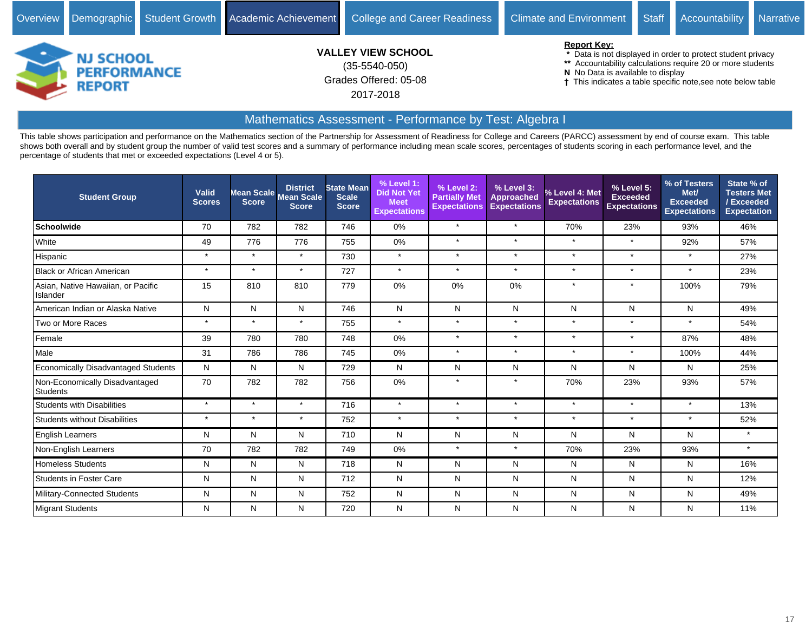

## Mathematics Assessment - Performance by Test: Algebra I

| <b>Student Group</b>                           | Valid<br><b>Scores</b> | <b>Score</b> | <b>District</b><br>Mean Scale Mean Scale<br><b>Score</b> | <b>State Mean</b><br><b>Scale</b><br><b>Score</b> | % Level 1:<br><b>Did Not Yet</b><br><b>Meet</b><br><b>Expectations</b> | % Level 2:<br><b>Partially Met</b><br><b>Expectations</b> | % Level 3:<br><b>Approached</b><br><b>Expectations</b> | % Level 4: Met<br><b>Expectations</b> | % Level 5:<br><b>Exceeded</b><br><b>Expectations</b> | % of Testers<br>Met/<br><b>Exceeded</b><br><b>Expectations</b> | State % of<br><b>Testers Met</b><br>/Exceeded<br><b>Expectation</b> |
|------------------------------------------------|------------------------|--------------|----------------------------------------------------------|---------------------------------------------------|------------------------------------------------------------------------|-----------------------------------------------------------|--------------------------------------------------------|---------------------------------------|------------------------------------------------------|----------------------------------------------------------------|---------------------------------------------------------------------|
| <b>Schoolwide</b>                              | 70                     | 782          | 782                                                      | 746                                               | 0%                                                                     | $\star$                                                   | $\star$                                                | 70%                                   | 23%                                                  | 93%                                                            | 46%                                                                 |
| White                                          | 49                     | 776          | 776                                                      | 755                                               | 0%                                                                     | $\star$                                                   | $\star$                                                | $\star$                               | $\star$                                              | 92%                                                            | 57%                                                                 |
| Hispanic                                       | $\star$                | $\star$      | $\star$                                                  | 730                                               | $\star$                                                                | $\star$                                                   | $\star$                                                | $\star$                               | $\star$                                              | $\star$                                                        | 27%                                                                 |
| <b>Black or African American</b>               | $\star$                | $\star$      | $\star$                                                  | 727                                               | $\star$                                                                |                                                           | $\star$                                                | $\star$                               | $\star$                                              | $\star$                                                        | 23%                                                                 |
| Asian, Native Hawaiian, or Pacific<br>Islander | 15                     | 810          | 810                                                      | 779                                               | 0%                                                                     | 0%                                                        | 0%                                                     | $\star$                               | $\star$                                              | 100%                                                           | 79%                                                                 |
| American Indian or Alaska Native               | N                      | N            | N                                                        | 746                                               | N                                                                      | N                                                         | N                                                      | N                                     | N                                                    | N                                                              | 49%                                                                 |
| Two or More Races                              | $\star$                | $\star$      | $\star$                                                  | 755                                               | $\star$                                                                | $\star$                                                   | $\star$                                                | $\star$                               | $\star$                                              | $\star$                                                        | 54%                                                                 |
| Female                                         | 39                     | 780          | 780                                                      | 748                                               | 0%                                                                     | $\star$                                                   | $\star$                                                | $\star$                               | $\star$                                              | 87%                                                            | 48%                                                                 |
| Male                                           | 31                     | 786          | 786                                                      | 745                                               | 0%                                                                     | $\star$                                                   | $\star$                                                | $\star$                               | $\star$                                              | 100%                                                           | 44%                                                                 |
| <b>Economically Disadvantaged Students</b>     | N                      | N            | N                                                        | 729                                               | N                                                                      | N                                                         | N                                                      | N                                     | N                                                    | Ν                                                              | 25%                                                                 |
| Non-Economically Disadvantaged<br>Students     | 70                     | 782          | 782                                                      | 756                                               | $0\%$                                                                  |                                                           | $\star$                                                | 70%                                   | 23%                                                  | 93%                                                            | 57%                                                                 |
| <b>Students with Disabilities</b>              | $\star$                | $\star$      | $\star$                                                  | 716                                               | $\star$                                                                | $\star$                                                   | $\star$                                                | $\star$                               | $\star$                                              | $\star$                                                        | 13%                                                                 |
| <b>Students without Disabilities</b>           | $\star$                | $\star$      | $\star$                                                  | 752                                               | $\star$                                                                | $\star$                                                   | $\star$                                                | $\star$                               | $\star$                                              | $\star$                                                        | 52%                                                                 |
| <b>English Learners</b>                        | N                      | N            | N                                                        | 710                                               | N                                                                      | N                                                         | N                                                      | N                                     | N                                                    | N                                                              | $\star$                                                             |
| Non-English Learners                           | 70                     | 782          | 782                                                      | 749                                               | 0%                                                                     | $\star$                                                   | $\star$                                                | 70%                                   | 23%                                                  | 93%                                                            | $\star$                                                             |
| <b>Homeless Students</b>                       | N                      | N            | N                                                        | 718                                               | N                                                                      | N                                                         | N                                                      | N                                     | N                                                    | N                                                              | 16%                                                                 |
| <b>Students in Foster Care</b>                 | N                      | N            | N                                                        | 712                                               | N                                                                      | N                                                         | N                                                      | N                                     | N                                                    | N                                                              | 12%                                                                 |
| Military-Connected Students                    | N                      | N            | N                                                        | 752                                               | N                                                                      | N                                                         | N                                                      | N                                     | N                                                    | Ν                                                              | 49%                                                                 |
| Migrant Students                               | N                      | N            | N                                                        | 720                                               | Ν                                                                      | N                                                         | N                                                      | N                                     | N                                                    | Ν                                                              | 11%                                                                 |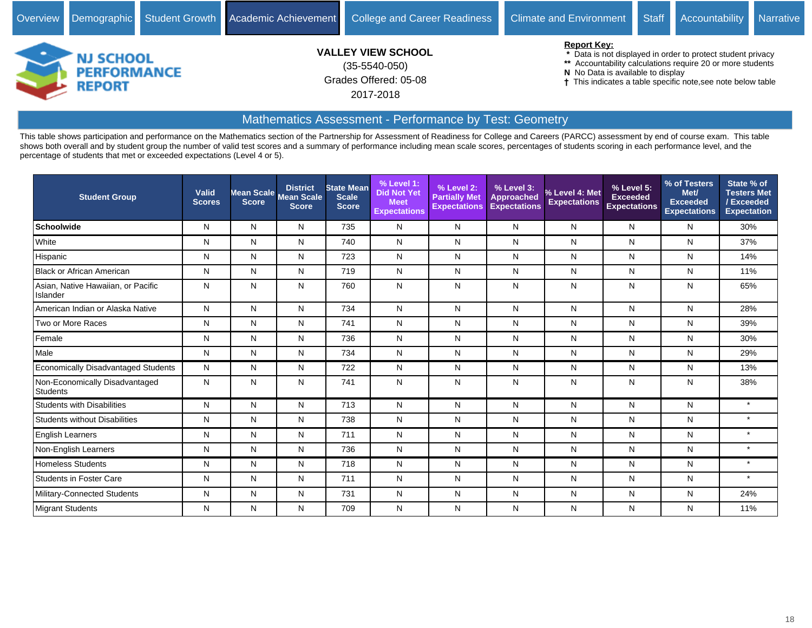

# Mathematics Assessment - Performance by Test: Geometry

| <b>Student Group</b>                           | Valid<br><b>Scores</b> | Mean Scale<br><b>Score</b> | <b>District</b><br><b>Mean Scale</b><br><b>Score</b> | <b>State Mean</b><br><b>Scale</b><br><b>Score</b> | % Level 1:<br><b>Did Not Yet</b><br><b>Meet</b><br><b>Expectations</b> | % Level 2:<br><b>Partially Met</b><br><b>Expectations</b> | % Level 3:<br><b>Approached</b><br><b>Expectations</b> | % Level 4: Met<br><b>Expectations</b> | % Level 5:<br><b>Exceeded</b><br><b>Expectations</b> | % of Testers<br>Met/<br><b>Exceeded</b><br><b>Expectations</b> | State % of<br><b>Testers Met</b><br>/Exceeded<br><b>Expectation</b> |
|------------------------------------------------|------------------------|----------------------------|------------------------------------------------------|---------------------------------------------------|------------------------------------------------------------------------|-----------------------------------------------------------|--------------------------------------------------------|---------------------------------------|------------------------------------------------------|----------------------------------------------------------------|---------------------------------------------------------------------|
| <b>Schoolwide</b>                              | N                      | N                          | N                                                    | 735                                               | N                                                                      | N                                                         | N                                                      | N                                     | N                                                    | N                                                              | 30%                                                                 |
| White                                          | N                      | N                          | N                                                    | 740                                               | N                                                                      | N                                                         | N                                                      | N                                     | N                                                    | N                                                              | 37%                                                                 |
| Hispanic                                       | N                      | N                          | N                                                    | 723                                               | N                                                                      | N                                                         | N                                                      | N                                     | N                                                    | N                                                              | 14%                                                                 |
| <b>Black or African American</b>               | N                      | N                          | N                                                    | 719                                               | N                                                                      | N                                                         | N                                                      | N                                     | N                                                    | N                                                              | 11%                                                                 |
| Asian, Native Hawaiian, or Pacific<br>Islander | N                      | N                          | N                                                    | 760                                               | N                                                                      | N                                                         | N                                                      | N                                     | N                                                    | Ν                                                              | 65%                                                                 |
| American Indian or Alaska Native               | N                      | N                          | N                                                    | 734                                               | N                                                                      | N                                                         | N                                                      | N                                     | N                                                    | N                                                              | 28%                                                                 |
| Two or More Races                              | N                      | N                          | N                                                    | 741                                               | N                                                                      | N                                                         | N                                                      | N                                     | N                                                    | N                                                              | 39%                                                                 |
| Female                                         | N                      | N                          | N                                                    | 736                                               | N                                                                      | N                                                         | N                                                      | N                                     | N                                                    | N                                                              | 30%                                                                 |
| Male                                           | N                      | N                          | N                                                    | 734                                               | N                                                                      | N                                                         | N                                                      | N                                     | N                                                    | N                                                              | 29%                                                                 |
| Economically Disadvantaged Students            | N                      | N                          | N                                                    | 722                                               | N                                                                      | N                                                         | N                                                      | N                                     | N                                                    | N                                                              | 13%                                                                 |
| Non-Economically Disadvantaged<br>Students     | N                      | N                          | N                                                    | 741                                               | ${\sf N}$                                                              | N                                                         | N                                                      | N                                     | N                                                    | Ν                                                              | 38%                                                                 |
| <b>Students with Disabilities</b>              | N                      | N                          | N                                                    | 713                                               | N                                                                      | N                                                         | N                                                      | N                                     | N                                                    | N                                                              | $\star$                                                             |
| <b>Students without Disabilities</b>           | N                      | N                          | N                                                    | 738                                               | N                                                                      | N                                                         | N                                                      | N                                     | N                                                    | N                                                              | $\star$                                                             |
| <b>English Learners</b>                        | N                      | N                          | N                                                    | 711                                               | N                                                                      | N                                                         | N                                                      | N                                     | N                                                    | Ν                                                              | $\star$                                                             |
| Non-English Learners                           | N                      | N                          | N                                                    | 736                                               | N                                                                      | N                                                         | N                                                      | N                                     | N                                                    | N                                                              | $\star$                                                             |
| <b>Homeless Students</b>                       | N                      | N                          | N                                                    | 718                                               | N                                                                      | N                                                         | N                                                      | N                                     | N                                                    | N                                                              | $\star$                                                             |
| <b>Students in Foster Care</b>                 | N                      | N                          | N                                                    | 711                                               | N                                                                      | N                                                         | N                                                      | N                                     | N                                                    | N                                                              | $\star$                                                             |
| Military-Connected Students                    | N                      | N                          | N                                                    | 731                                               | ${\sf N}$                                                              | N                                                         | N                                                      | N                                     | N                                                    | Ν                                                              | 24%                                                                 |
| Migrant Students                               | N                      | N                          | N                                                    | 709                                               | N                                                                      | N                                                         | N                                                      | N                                     | N                                                    | N                                                              | 11%                                                                 |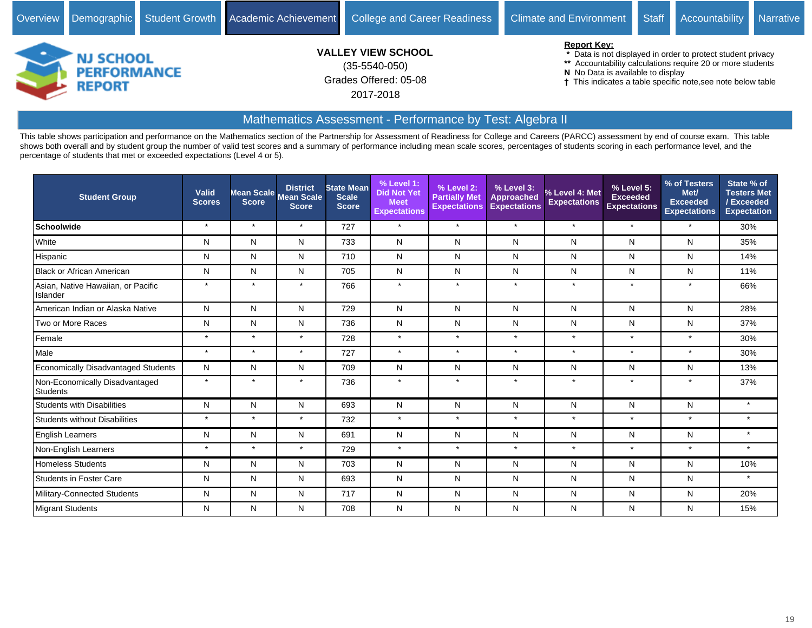

# Mathematics Assessment - Performance by Test: Algebra II

| <b>Student Group</b>                           | Valid<br><b>Scores</b> | <b>Score</b> | <b>District</b><br>Mean Scale Mean Scale<br><b>Score</b> | <b>State Mean</b><br><b>Scale</b><br><b>Score</b> | % Level 1:<br><b>Did Not Yet</b><br><b>Meet</b><br><b>Expectations</b> | % Level 2:<br><b>Partially Met</b><br><b>Expectations</b> | % Level 3:<br><b>Approached</b><br><b>Expectations</b> | % Level 4: Met<br><b>Expectations</b> | % Level 5:<br><b>Exceeded</b><br><b>Expectations</b> | % of Testers<br>Met/<br><b>Exceeded</b><br><b>Expectations</b> | State % of<br><b>Testers Met</b><br>/Exceeded<br><b>Expectation</b> |
|------------------------------------------------|------------------------|--------------|----------------------------------------------------------|---------------------------------------------------|------------------------------------------------------------------------|-----------------------------------------------------------|--------------------------------------------------------|---------------------------------------|------------------------------------------------------|----------------------------------------------------------------|---------------------------------------------------------------------|
| <b>Schoolwide</b>                              | $\star$                | $\star$      | $\star$                                                  | 727                                               | $\star$                                                                | $\star$                                                   | $\star$                                                | $\star$                               | $\star$                                              | $\star$                                                        | 30%                                                                 |
| White                                          | N                      | N            | N                                                        | 733                                               | N                                                                      | N                                                         | N                                                      | N                                     | N                                                    | N                                                              | 35%                                                                 |
| Hispanic                                       | N                      | N            | N                                                        | 710                                               | N                                                                      | N                                                         | N                                                      | N                                     | N                                                    | N                                                              | 14%                                                                 |
| <b>Black or African American</b>               | N                      | N            | N                                                        | 705                                               | N                                                                      | N                                                         | N                                                      | N                                     | N                                                    | N                                                              | 11%                                                                 |
| Asian, Native Hawaiian, or Pacific<br>Islander | $\star$                | $\star$      | $\star$                                                  | 766                                               | $\star$                                                                | $\star$                                                   | $\star$                                                | $\star$                               | $\star$                                              | $\star$                                                        | 66%                                                                 |
| American Indian or Alaska Native               | N                      | N            | N                                                        | 729                                               | N                                                                      | N                                                         | N                                                      | N                                     | N                                                    | N                                                              | 28%                                                                 |
| Two or More Races                              | N                      | N            | N                                                        | 736                                               | ${\sf N}$                                                              | N                                                         | N                                                      | N                                     | N                                                    | Ν                                                              | 37%                                                                 |
| Female                                         | $\star$                | $\star$      | $\star$                                                  | 728                                               | $\star$                                                                | $\star$                                                   | $\star$                                                | $\star$                               | $\star$                                              | $\star$                                                        | 30%                                                                 |
| Male                                           | $\star$                | $\star$      | $\star$                                                  | 727                                               | $\star$                                                                | $\star$                                                   | $\star$                                                | $\star$                               | $\star$                                              | $\star$                                                        | 30%                                                                 |
| Economically Disadvantaged Students            | N                      | N            | N                                                        | 709                                               | N                                                                      | N                                                         | N                                                      | N                                     | N                                                    | Ν                                                              | 13%                                                                 |
| Non-Economically Disadvantaged<br>Students     | $\star$                | $\star$      | $\star$                                                  | 736                                               | $\star$                                                                | $\star$                                                   | $\star$                                                | $\star$                               | $\star$                                              | $\star$                                                        | 37%                                                                 |
| <b>Students with Disabilities</b>              | N                      | N            | N                                                        | 693                                               | N                                                                      | N                                                         | N                                                      | N                                     | N                                                    | Ν                                                              | $\star$                                                             |
| <b>Students without Disabilities</b>           | $\star$                | $\star$      | $\star$                                                  | 732                                               | $\star$                                                                | $\star$                                                   | $\star$                                                | $\star$                               | $\star$                                              | $\star$                                                        | $\star$                                                             |
| English Learners                               | N                      | N            | N                                                        | 691                                               | N                                                                      | N                                                         | N                                                      | N                                     | N                                                    | N                                                              | $\star$                                                             |
| Non-English Learners                           | $\star$                | $\star$      | $\star$                                                  | 729                                               | $\star$                                                                | $\star$                                                   | $\star$                                                | $\star$                               | $\star$                                              | $\star$                                                        | $\star$                                                             |
| <b>Homeless Students</b>                       | N                      | N            | N                                                        | 703                                               | N                                                                      | N                                                         | N                                                      | N                                     | N                                                    | N                                                              | 10%                                                                 |
| <b>Students in Foster Care</b>                 | N                      | N            | N                                                        | 693                                               | N                                                                      | N                                                         | N                                                      | N                                     | N                                                    | N                                                              | $\star$                                                             |
| Military-Connected Students                    | N                      | N            | N                                                        | 717                                               | N                                                                      | N                                                         | N                                                      | N                                     | N                                                    | Ν                                                              | 20%                                                                 |
| Migrant Students                               | N                      | N            | N                                                        | 708                                               | Ν                                                                      | N                                                         | N                                                      | N                                     | N                                                    | Ν                                                              | 15%                                                                 |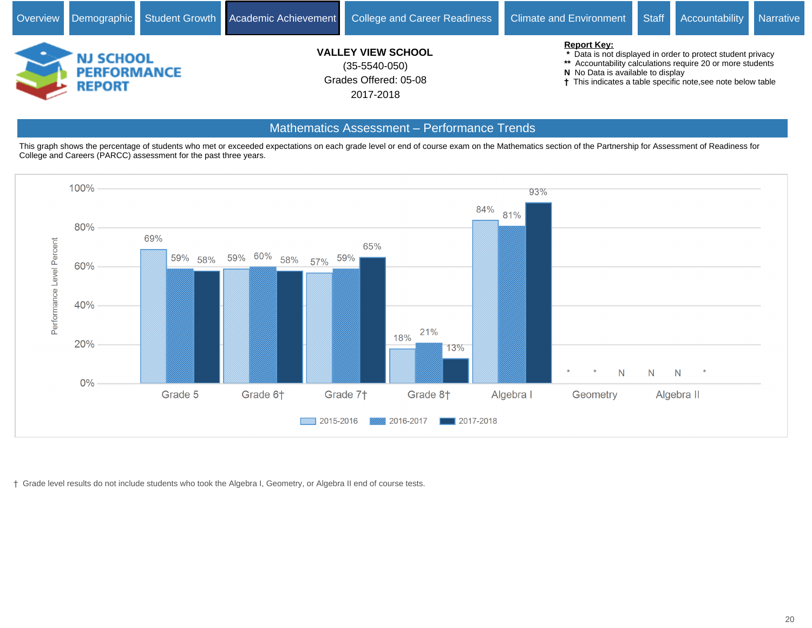

#### Mathematics Assessment - Performance Trends

This graph shows the percentage of students who met or exceeded expectations on each grade level or end of course exam on the Mathematics section of the Partnership for Assessment of Readiness for College and Careers (PARCC) assessment for the past three years.



Grade level results do not include students who took the Algebra I, Geometry, or Algebra II end of course tests.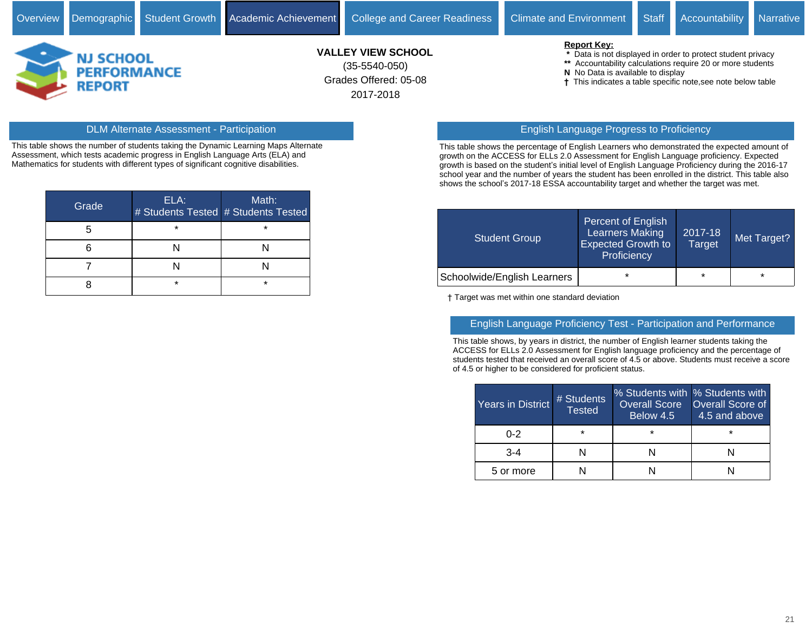

# Grades Offered: 05-08 **VALLEY VIEW SCHOOL** (35-5540-050)

2017-2018

#### **Report Key:**

- **\*** Data is not displayed in order to protect student privacy
- **\*\*** Accountability calculations require 20 or more students
- **N** No Data is available to display
- This indicates a table specific note,see note below table

This table shows the number of students taking the Dynamic Learning Maps Alternate Assessment, which tests academic progress in English Language Arts (ELA) and Mathematics for students with different types of significant cognitive disabilities.

| Grade <sup>'</sup> | ELA:    | Math:<br># Students Tested # Students Tested |
|--------------------|---------|----------------------------------------------|
|                    | $\star$ | $\star$                                      |
|                    |         |                                              |
|                    |         |                                              |
|                    | ÷       | $\star$                                      |

#### DLM Alternate Assessment - Participation English Language Progress to Proficiency

This table shows the percentage of English Learners who demonstrated the expected amount of growth on the ACCESS for ELLs 2.0 Assessment for English Language proficiency. Expected growth is based on the student's initial level of English Language Proficiency during the 2016-17 school year and the number of years the student has been enrolled in the district. This table also shows the school's 2017-18 ESSA accountability target and whether the target was met.

| Student Group               | Percent of English<br><b>Learners Making</b><br><b>Expected Growth to</b><br>Proficiency | 2017-18<br>Target | Met Target? |
|-----------------------------|------------------------------------------------------------------------------------------|-------------------|-------------|
| Schoolwide/English Learners | $\star$                                                                                  | $\star$           | $\star$     |

Target was met within one standard deviation

#### English Language Proficiency Test - Participation and Performance

This table shows, by years in district, the number of English learner students taking the ACCESS for ELLs 2.0 Assessment for English language proficiency and the percentage of students tested that received an overall score of 4.5 or above. Students must receive a score of 4.5 or higher to be considered for proficient status.

| <b>Years in District</b> | # Students<br><b>Tested</b> | % Students with % Students with<br>Overall Score<br>Below 4.5 | <b>Overall Score of</b><br>$\overline{14.5}$ and above |  |  |
|--------------------------|-----------------------------|---------------------------------------------------------------|--------------------------------------------------------|--|--|
| በ-2                      | $\star$                     | $\star$                                                       | ÷                                                      |  |  |
| $3-4$                    |                             |                                                               |                                                        |  |  |
| 5 or more                |                             |                                                               |                                                        |  |  |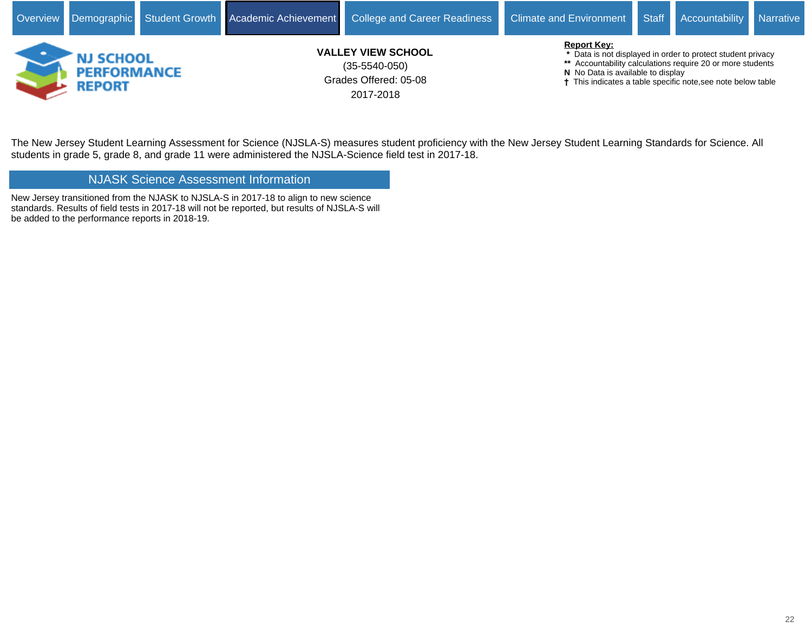

The New Jersey Student Learning Assessment for Science (NJSLA-S) measures student proficiency with the New Jersey Student Learning Standards for Science. All students in grade 5, grade 8, and grade 11 were administered the NJSLA-Science field test in 2017-18.

NJASK Science Assessment Information

New Jersey transitioned from the NJASK to NJSLA-S in 2017-18 to align to new science standards. Results of field tests in 2017-18 will not be reported, but results of NJSLA-S will be added to the performance reports in 2018-19.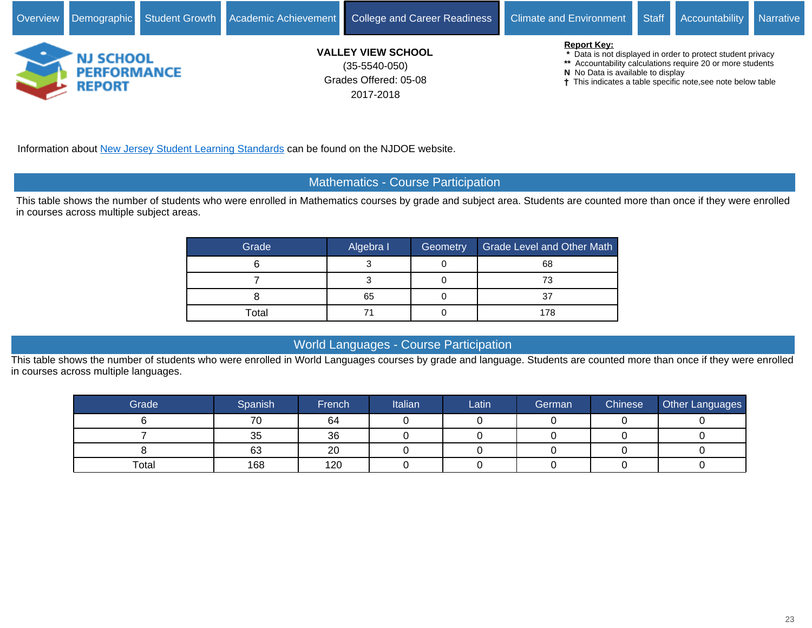

Information about [New Jersey Student Learning Standards](https://www.nj.gov/education/cccs/) can be found on the NJDOE website.

#### Mathematics - Course Participation

This table shows the number of students who were enrolled in Mathematics courses by grade and subject area. Students are counted more than once if they were enrolled in courses across multiple subject areas.

| Grade | Algebra I | Geometry | <b>Grade Level and Other Math</b> |  |  |
|-------|-----------|----------|-----------------------------------|--|--|
|       |           |          | 68                                |  |  |
|       |           |          | 73                                |  |  |
|       | 65        | u        | 37                                |  |  |
| Total |           |          | 178                               |  |  |

#### World Languages - Course Participation

This table shows the number of students who were enrolled in World Languages courses by grade and language. Students are counted more than once if they were enrolled in courses across multiple languages.

| Grade | Spanish | French | Italian | ∟atin | German | <b>Chinese</b> | Other Languages |
|-------|---------|--------|---------|-------|--------|----------------|-----------------|
|       | 70      | 64     |         |       |        |                |                 |
|       | 35      | 36     |         |       |        |                |                 |
|       | 63      | 20     |         |       |        |                |                 |
| Total | 168     | 120    |         |       |        |                |                 |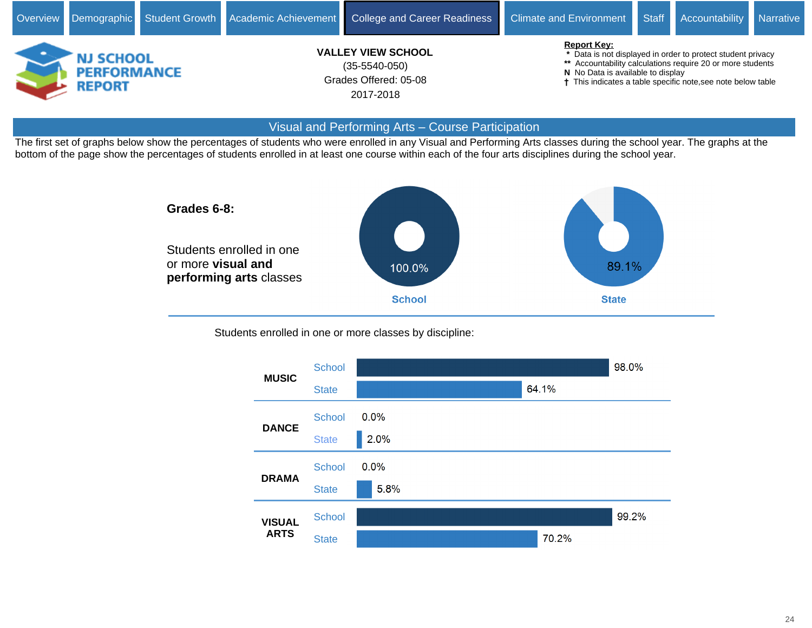

#### Visual and Performing Arts - Course Participation

The first set of graphs below show the percentages of students who were enrolled in any Visual and Performing Arts classes during the school year. The graphs at the bottom of the page show the percentages of students enrolled in at least one course within each of the four arts disciplines during the school year.



Students enrolled in one or more classes by discipline:

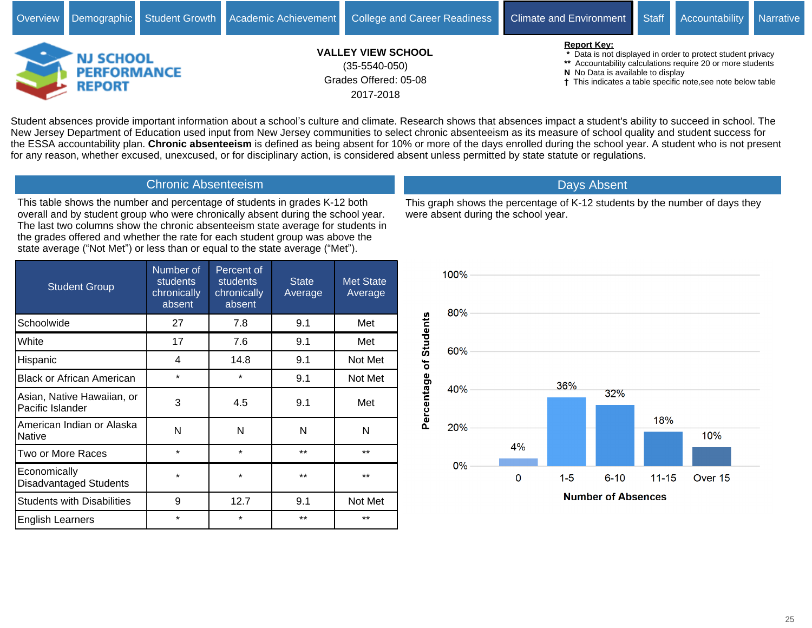

Student absences provide important information about a school's culture and climate. Research shows that absences impact a student's ability to succeed in school. The New Jersey Department of Education used input from New Jersey communities to select chronic absenteeism as its measure of school quality and student success for the ESSA accountability plan. **Chronic absenteeism** is defined as being absent for 10% or more of the days enrolled during the school year. A student who is not present for any reason, whether excused, unexcused, or for disciplinary action, is considered absent unless permitted by state statute or regulations.

#### Chronic Absenteeism

This table shows the number and percentage of students in grades K-12 both overall and by student group who were chronically absent during the school year. The last two columns show the chronic absenteeism state average for students in the grades offered and whether the rate for each student group was above the state average ("Not Met") or less than or equal to the state average ("Met").

| <b>Student Group</b>                           | Number of<br><b>students</b><br>chronically<br>absent | Percent of<br><b>students</b><br>chronically<br>absent | <b>State</b><br>Average | <b>Met State</b><br>Average |
|------------------------------------------------|-------------------------------------------------------|--------------------------------------------------------|-------------------------|-----------------------------|
| Schoolwide                                     | 27                                                    | 7.8                                                    | 9.1                     | Met                         |
| White                                          | 17                                                    | 7.6                                                    | 9.1                     | Met                         |
| Hispanic                                       | 4                                                     | 14.8                                                   | 9.1                     | Not Met                     |
| <b>Black or African American</b>               | $\star$                                               | $\star$                                                | 9.1                     | Not Met                     |
| Asian, Native Hawaiian, or<br>Pacific Islander | 3                                                     | 4.5                                                    | 9.1                     | Met                         |
| American Indian or Alaska<br><b>Native</b>     | N                                                     | N                                                      | N                       | N                           |
| Two or More Races                              | $\star$                                               | $\star$                                                | $***$                   | $***$                       |
| Economically<br><b>Disadvantaged Students</b>  | $\star$                                               | $\star$                                                | $***$                   | $***$                       |
| <b>Students with Disabilities</b>              | 9                                                     | 12.7                                                   | 9.1                     | Not Met                     |
| <b>English Learners</b>                        | $\star$                                               | $\star$                                                | $***$                   | $***$                       |

This graph shows the percentage of K-12 students by the number of days they were absent during the school year.

Days Absent

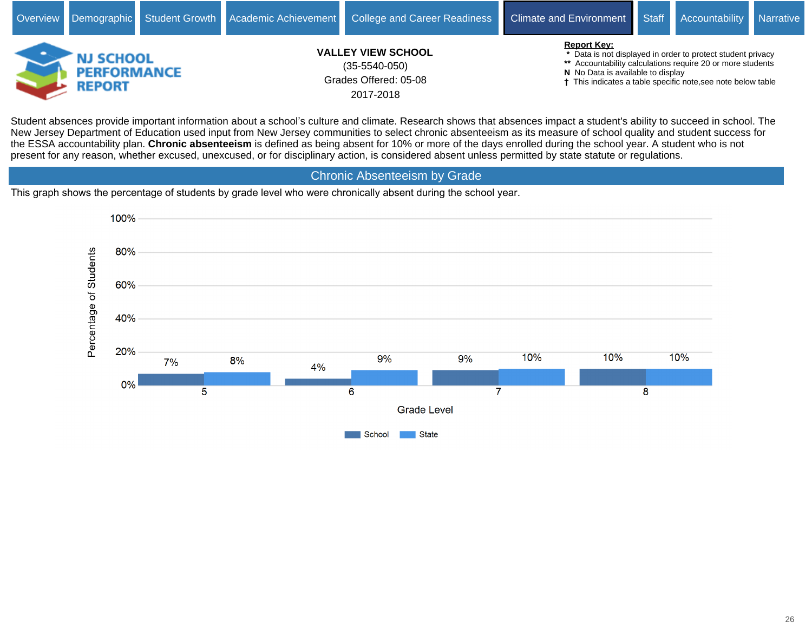

Student absences provide important information about a school's culture and climate. Research shows that absences impact a student's ability to succeed in school. The New Jersey Department of Education used input from New Jersey communities to select chronic absenteeism as its measure of school quality and student success for the ESSA accountability plan. **Chronic absenteeism** is defined as being absent for 10% or more of the days enrolled during the school year. A student who is not present for any reason, whether excused, unexcused, or for disciplinary action, is considered absent unless permitted by state statute or regulations.

Chronic Absenteeism by Grade

This graph shows the percentage of students by grade level who were chronically absent during the school year.

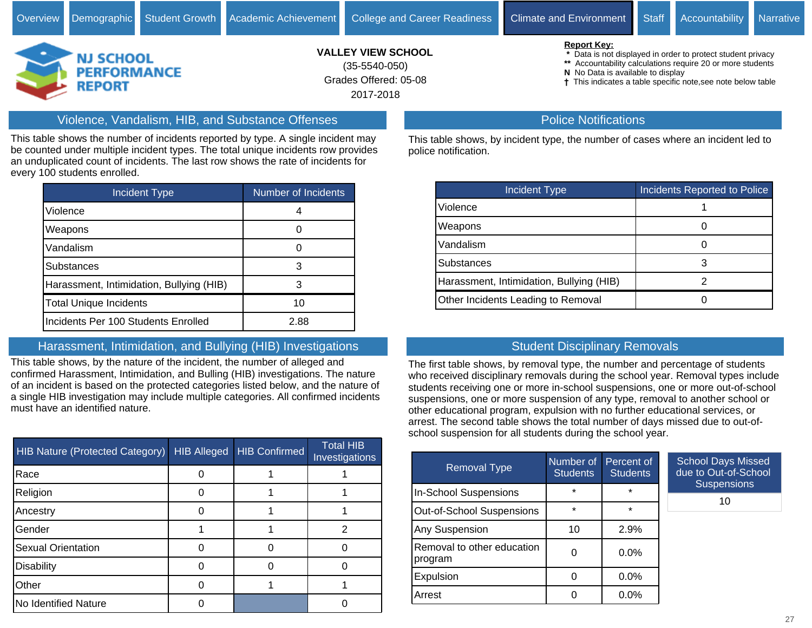

Grades Offered: 05-08 **VALLEY VIEW SCHOOL** 2017-2018 (35-5540-050)

 **\*** Data is not displayed in order to protect student privacy

**\*\*** Accountability calculations require 20 or more students

**N** No Data is available to display

This indicates a table specific note,see note below table

#### Violence, Vandalism, HIB, and Substance Offenses

This table shows the number of incidents reported by type. A single incident may be counted under multiple incident types. The total unique incidents row provides an unduplicated count of incidents. The last row shows the rate of incidents for every 100 students enrolled.

| <b>Incident Type</b>                     | Number of Incidents |
|------------------------------------------|---------------------|
| Violence                                 |                     |
| Weapons                                  |                     |
| Vandalism                                | O                   |
| Substances                               | 3                   |
| Harassment, Intimidation, Bullying (HIB) | 3                   |
| <b>Total Unique Incidents</b>            | 10                  |
| Incidents Per 100 Students Enrolled      | 2.88                |

## Harassment, Intimidation, and Bullying (HIB) Investigations

This table shows, by the nature of the incident, the number of alleged and confirmed Harassment, Intimidation, and Bulling (HIB) investigations. The nature of an incident is based on the protected categories listed below, and the nature of a single HIB investigation may include multiple categories. All confirmed incidents must have an identified nature.

| <b>HIB Nature (Protected Category)</b> | <b>HIB Alleged</b> | <b>HIB Confirmed</b> | <b>Total HIB</b><br>Investigations |
|----------------------------------------|--------------------|----------------------|------------------------------------|
| Race                                   |                    |                      |                                    |
| Religion                               |                    |                      |                                    |
| Ancestry                               |                    |                      |                                    |
| Gender                                 |                    |                      |                                    |
| <b>Sexual Orientation</b>              |                    |                      |                                    |
| <b>Disability</b>                      |                    |                      |                                    |
| Other                                  |                    |                      |                                    |
| No Identified Nature                   |                    |                      |                                    |

#### Police Notifications

This table shows, by incident type, the number of cases where an incident led to police notification.

| Incident Type                            | Incidents Reported to Police |
|------------------------------------------|------------------------------|
| Violence                                 |                              |
| Weapons                                  |                              |
| Vandalism                                |                              |
| <b>Substances</b>                        |                              |
| Harassment, Intimidation, Bullying (HIB) |                              |
| Other Incidents Leading to Removal       |                              |

## Student Disciplinary Removals

The first table shows, by removal type, the number and percentage of students who received disciplinary removals during the school year. Removal types include students receiving one or more in-school suspensions, one or more out-of-school suspensions, one or more suspension of any type, removal to another school or other educational program, expulsion with no further educational services, or arrest. The second table shows the total number of days missed due to out-ofschool suspension for all students during the school year.

| <b>Removal Type</b>                   | Number of<br><b>Students</b> | Percent of<br><b>Students</b> | School Da<br>due to Ou |
|---------------------------------------|------------------------------|-------------------------------|------------------------|
| <b>In-School Suspensions</b>          | $\star$                      | $\star$                       | <b>Susp</b>            |
| Out-of-School Suspensions             | $\star$                      | $\star$                       |                        |
| Any Suspension                        | 10                           | 2.9%                          |                        |
| Removal to other education<br>program |                              | $0.0\%$                       |                        |
| Expulsion                             | n                            | 0.0%                          |                        |
| Arrest                                |                              | $0.0\%$                       |                        |

ays Missed tt-of-School ensions

10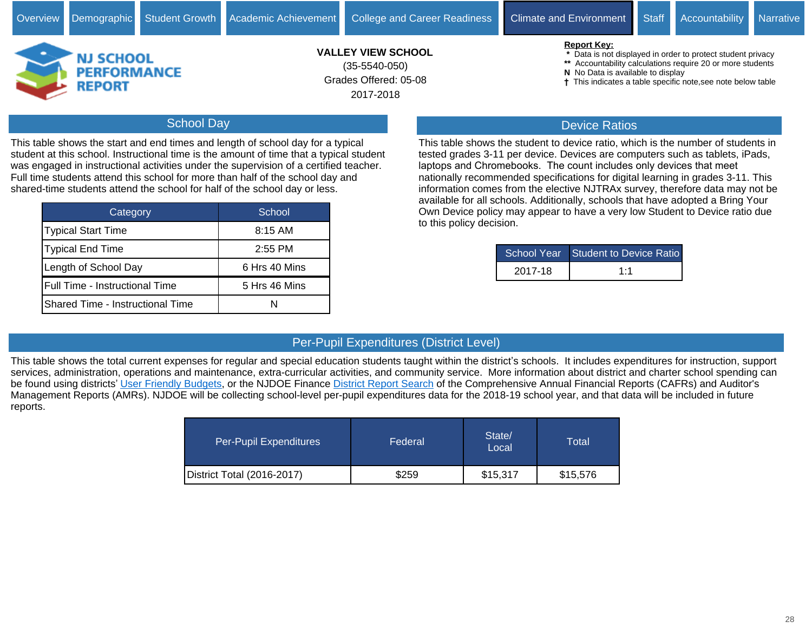Grades Offered: 05-08

2017-2018

- **N** No Data is available to display
- This indicates a table specific note,see note below table

#### School Day

**REPORT** 

This table shows the start and end times and length of school day for a typical student at this school. Instructional time is the amount of time that a typical student was engaged in instructional activities under the supervision of a certified teacher. Full time students attend this school for more than half of the school day and shared-time students attend the school for half of the school day or less.

| Category                                | School        |
|-----------------------------------------|---------------|
| Typical Start Time                      | $8:15$ AM     |
| Typical End Time                        | $2:55$ PM     |
| Length of School Day                    | 6 Hrs 40 Mins |
| Full Time - Instructional Time          | 5 Hrs 46 Mins |
| <b>Shared Time - Instructional Time</b> |               |

#### Device Ratios

This table shows the student to device ratio, which is the number of students in tested grades 3-11 per device. Devices are computers such as tablets, iPads, laptops and Chromebooks. The count includes only devices that meet nationally recommended specifications for digital learning in grades 3-11. This information comes from the elective NJTRAx survey, therefore data may not be available for all schools. Additionally, schools that have adopted a Bring Your Own Device policy may appear to have a very low Student to Device ratio due to this policy decision.

|         | School Year Student to Device Ratio |
|---------|-------------------------------------|
| 2017-18 | 1:1                                 |

#### Per-Pupil Expenditures (District Level)

This table shows the total current expenses for regular and special education students taught within the district's schools. It includes expenditures for instruction, support services, administration, operations and maintenance, extra-curricular activities, and community service. More information about district and charter school spending can be found using districts' [User Friendly Budgets](https://www.nj.gov/education/finance/fp/ufb/), or the NJDOE Finance [District Report Search](http://www.nj.gov/education/finance/fp/cafr/search) of the Comprehensive Annual Financial Reports (CAFRs) and Auditor's Management Reports (AMRs). NJDOE will be collecting school-level per-pupil expenditures data for the 2018-19 school year, and that data will be included in future reports.

| Per-Pupil Expenditures     | Federal | State/<br>Local | Total    |
|----------------------------|---------|-----------------|----------|
| District Total (2016-2017) | \$259   | \$15,317        | \$15,576 |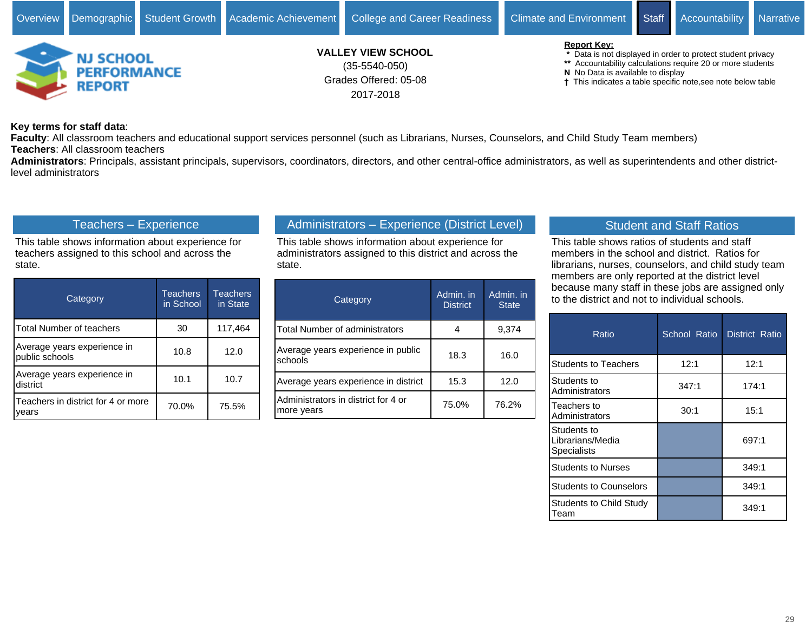

#### **Key terms for staff data**:

**Faculty**: All classroom teachers and educational support services personnel (such as Librarians, Nurses, Counselors, and Child Study Team members) **Teachers**: All classroom teachers

**Administrators**: Principals, assistant principals, supervisors, coordinators, directors, and other central-office administrators, as well as superintendents and other districtlevel administrators

#### Teachers - Experience

This table shows information about experience for teachers assigned to this school and across the state.

| Category                                      | <b>Teachers</b><br>in School | <b>Teachers</b><br>in State |  |
|-----------------------------------------------|------------------------------|-----------------------------|--|
| Total Number of teachers                      | 30                           | 117,464                     |  |
| Average years experience in<br>public schools | 10.8                         | 12.0                        |  |
| Average years experience in<br>district       | 10.1                         | 10.7                        |  |
| Teachers in district for 4 or more<br>vears   | 70.0%                        | 75.5%                       |  |

# Administrators - Experience (District Level)

This table shows information about experience for administrators assigned to this district and across the state.

| Category                                          | Admin. in<br><b>District</b> | Admin. in<br><b>State</b> |
|---------------------------------------------------|------------------------------|---------------------------|
| <b>Total Number of administrators</b>             |                              | 9,374                     |
| Average years experience in public<br>schools     | 18.3                         | 16.0                      |
| Average years experience in district              | 15.3                         | 12.0                      |
| Administrators in district for 4 or<br>more years | 75.0%                        | 76.2%                     |

#### Student and Staff Ratios

This table shows ratios of students and staff members in the school and district. Ratios for librarians, nurses, counselors, and child study team members are only reported at the district level because many staff in these jobs are assigned only to the district and not to individual schools.

| Ratio                                                 | School Ratio | District Ratio |
|-------------------------------------------------------|--------------|----------------|
| <b>Students to Teachers</b>                           | 12:1         | 12:1           |
| Students to<br>Administrators                         | 347:1        | 174:1          |
| Teachers to<br>Administrators                         | 30:1         | 15:1           |
| Students to<br>Librarians/Media<br><b>Specialists</b> |              | 697:1          |
| <b>Students to Nurses</b>                             |              | 349:1          |
| <b>Students to Counselors</b>                         |              | 349:1          |
| <b>Students to Child Study</b><br>Team                |              | 349:1          |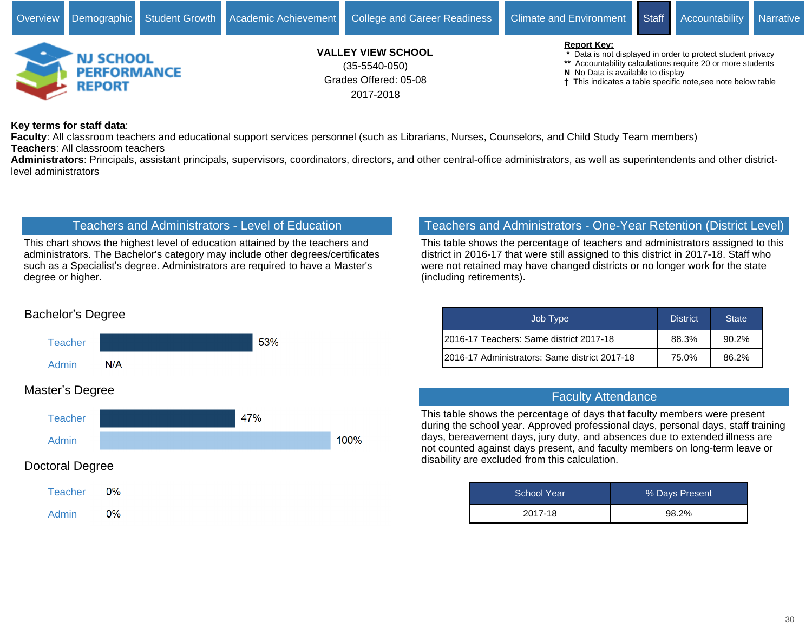

**Key terms for staff data**:

**Faculty**: All classroom teachers and educational support services personnel (such as Librarians, Nurses, Counselors, and Child Study Team members) **Teachers**: All classroom teachers

**Administrators**: Principals, assistant principals, supervisors, coordinators, directors, and other central-office administrators, as well as superintendents and other districtlevel administrators

#### Teachers and Administrators - Level of Education

This chart shows the highest level of education attained by the teachers and administrators. The Bachelor's category may include other degrees/certificates such as a Specialist's degree. Administrators are required to have a Master's degree or higher.

#### Teachers and Administrators - One-Year Retention (District Level)

This table shows the percentage of teachers and administrators assigned to this district in 2016-17 that were still assigned to this district in 2017-18. Staff who were not retained may have changed districts or no longer work for the state (including retirements).

| Job Type                                       | <b>District</b> | <b>State</b> |
|------------------------------------------------|-----------------|--------------|
| 2016-17 Teachers: Same district 2017-18        | 88.3%           | 90.2%        |
| 12016-17 Administrators: Same district 2017-18 | 75.0%           | 86.2%        |

#### Faculty Attendance

This table shows the percentage of days that faculty members were present during the school year. Approved professional days, personal days, staff training days, bereavement days, jury duty, and absences due to extended illness are not counted against days present, and faculty members on long-term leave or disability are excluded from this calculation.

| <b>School Year</b> | % Days Present |
|--------------------|----------------|
| 2017-18            | 98.2%          |

# Bachelor's Degree



## Master's Degree



 $0%$ **Teacher**  $0%$ Admin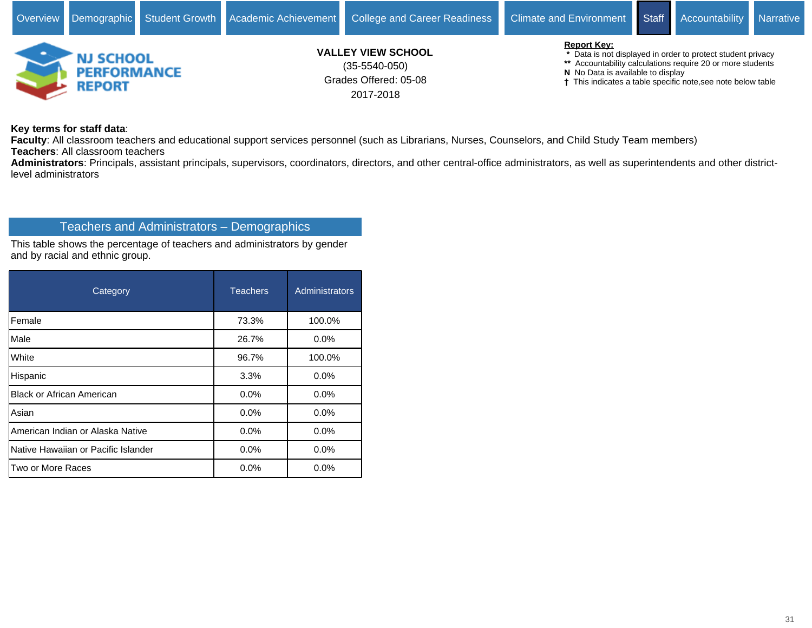

**Key terms for staff data**:

**Faculty**: All classroom teachers and educational support services personnel (such as Librarians, Nurses, Counselors, and Child Study Team members) **Teachers**: All classroom teachers

**Administrators**: Principals, assistant principals, supervisors, coordinators, directors, and other central-office administrators, as well as superintendents and other districtlevel administrators

# Teachers and Administrators - Demographics

This table shows the percentage of teachers and administrators by gender and by racial and ethnic group.

| Category                            | <b>Teachers</b> | Administrators |  |
|-------------------------------------|-----------------|----------------|--|
| Female                              | 73.3%           | 100.0%         |  |
| Male                                | 26.7%           | $0.0\%$        |  |
| White                               | 96.7%           | 100.0%         |  |
| Hispanic                            | 3.3%            | 0.0%           |  |
| <b>Black or African American</b>    | 0.0%            | 0.0%           |  |
| Asian                               | 0.0%            | 0.0%           |  |
| American Indian or Alaska Native    | 0.0%            | 0.0%           |  |
| Native Hawaiian or Pacific Islander | 0.0%            | 0.0%           |  |
| Two or More Races                   | 0.0%            | 0.0%           |  |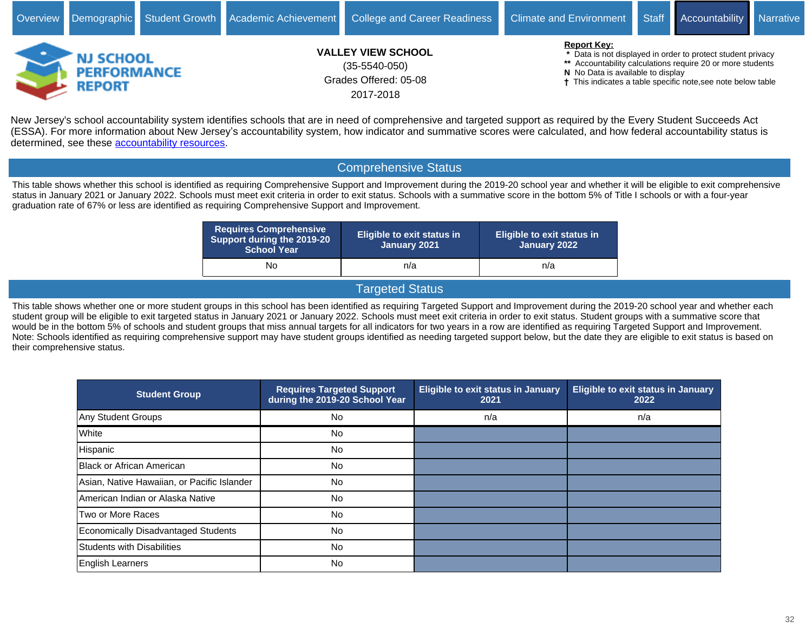

New Jersey's school accountability system identifies schools that are in need of comprehensive and targeted support as required by the Every Student Succeeds Act (ESSA). For more information about New Jersey's accountability system, how indicator and summative scores were calculated, and how federal accountability status is determined, see these [accountability resources.](https://www.state.nj.us/education/title1/accountability/progress/18/)

#### Comprehensive Status

This table shows whether this school is identified as requiring Comprehensive Support and Improvement during the 2019-20 school year and whether it will be eligible to exit comprehensive status in January 2021 or January 2022. Schools must meet exit criteria in order to exit status. Schools with a summative score in the bottom 5% of Title I schools or with a four-year graduation rate of 67% or less are identified as requiring Comprehensive Support and Improvement.

| <b>Requires Comprehensive</b><br>Support during the 2019-20<br><b>School Year</b> | <b>Eligible to exit status in</b><br>January 2021 | <b>Eligible to exit status in</b><br>January 2022 |  |  |
|-----------------------------------------------------------------------------------|---------------------------------------------------|---------------------------------------------------|--|--|
| No                                                                                | n/a                                               | n/a                                               |  |  |

#### Targeted Status

This table shows whether one or more student groups in this school has been identified as requiring Targeted Support and Improvement during the 2019-20 school year and whether each student group will be eligible to exit targeted status in January 2021 or January 2022. Schools must meet exit criteria in order to exit status. Student groups with a summative score that would be in the bottom 5% of schools and student groups that miss annual targets for all indicators for two years in a row are identified as requiring Targeted Support and Improvement. Note: Schools identified as requiring comprehensive support may have student groups identified as needing targeted support below, but the date they are eligible to exit status is based on their comprehensive status.

| <b>Student Group</b>                        | <b>Requires Targeted Support</b><br>during the 2019-20 School Year | <b>Eligible to exit status in January</b><br>2021 | <b>Eligible to exit status in January</b><br>2022 |
|---------------------------------------------|--------------------------------------------------------------------|---------------------------------------------------|---------------------------------------------------|
| Any Student Groups                          | No.                                                                | n/a                                               | n/a                                               |
| White                                       | No.                                                                |                                                   |                                                   |
| Hispanic                                    | No.                                                                |                                                   |                                                   |
| Black or African American                   | No.                                                                |                                                   |                                                   |
| Asian, Native Hawaiian, or Pacific Islander | <b>No</b>                                                          |                                                   |                                                   |
| American Indian or Alaska Native            | <b>No</b>                                                          |                                                   |                                                   |
| Two or More Races                           | No.                                                                |                                                   |                                                   |
| <b>Economically Disadvantaged Students</b>  | <b>No</b>                                                          |                                                   |                                                   |
| <b>Students with Disabilities</b>           | No.                                                                |                                                   |                                                   |
| English Learners                            | No.                                                                |                                                   |                                                   |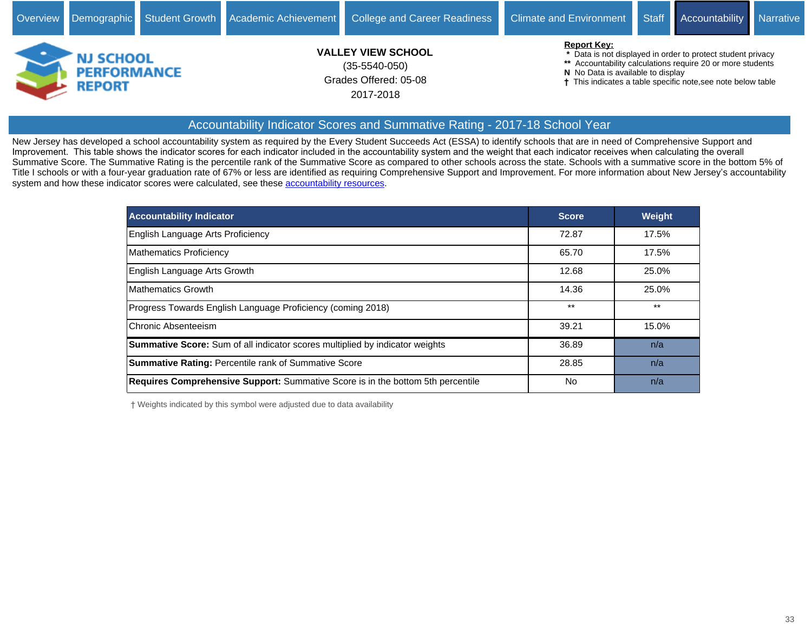

#### Accountability Indicator Scores and Summative Rating - 2017-18 School Year

New Jersey has developed a school accountability system as required by the Every Student Succeeds Act (ESSA) to identify schools that are in need of Comprehensive Support and Improvement. This table shows the indicator scores for each indicator included in the accountability system and the weight that each indicator receives when calculating the overall Summative Score. The Summative Rating is the percentile rank of the Summative Score as compared to other schools across the state. Schools with a summative score in the bottom 5% of Title I schools or with a four-year graduation rate of 67% or less are identified as requiring Comprehensive Support and Improvement. For more information about New Jersey's accountability system and how these indicator scores were calculated, see these [accountability resources](https://www.state.nj.us/education/title1/accountability/progress/18/).

| <b>Accountability Indicator</b>                                                        | <b>Score</b> | <b>Weight</b> |
|----------------------------------------------------------------------------------------|--------------|---------------|
| English Language Arts Proficiency                                                      | 72.87        | 17.5%         |
| Mathematics Proficiency                                                                | 65.70        | 17.5%         |
| English Language Arts Growth                                                           | 12.68        | 25.0%         |
| <b>Mathematics Growth</b>                                                              | 14.36        | 25.0%         |
| Progress Towards English Language Proficiency (coming 2018)                            | $***$        | $***$         |
| Chronic Absenteeism                                                                    | 39.21        | 15.0%         |
| <b>Summative Score:</b> Sum of all indicator scores multiplied by indicator weights    | 36.89        | n/a           |
| <b>Summative Rating: Percentile rank of Summative Score</b>                            | 28.85        | n/a           |
| <b>Requires Comprehensive Support:</b> Summative Score is in the bottom 5th percentile | No           | n/a           |

Weights indicated by this symbol were adjusted due to data availability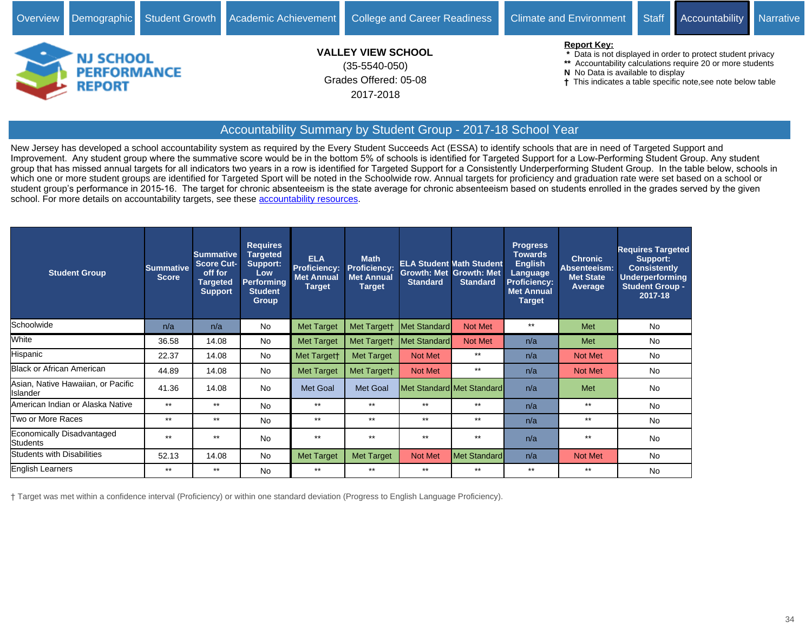

## Accountability Summary by Student Group - 2017-18 School Year

New Jersey has developed a school accountability system as required by the Every Student Succeeds Act (ESSA) to identify schools that are in need of Targeted Support and Improvement. Any student group where the summative score would be in the bottom 5% of schools is identified for Targeted Support for a Low-Performing Student Group. Any student group that has missed annual targets for all indicators two years in a row is identified for Targeted Support for a Consistently Underperforming Student Group. In the table below, schools in which one or more student groups are identified for Targeted Sport will be noted in the Schoolwide row. Annual targets for proficiency and graduation rate were set based on a school or student group's performance in 2015-16. The target for chronic absenteeism is the state average for chronic absenteeism based on students enrolled in the grades served by the given school. For more details on accountability targets, see these [accountability resources](https://www.state.nj.us/education/title1/accountability/progress/18/).

| <b>Student Group</b>                           | <b>Summative</b><br><b>Score</b> | <b>Summative</b><br>Score Cut-<br>off for<br><b>Targeted</b><br><b>Support</b> | <b>Requires</b><br><b>Targeted</b><br>Support:<br><b>Low</b><br>Performing<br><b>Student</b><br>Group | <b>ELA</b><br><b>Proficiency:</b><br><b>Met Annual</b><br><b>Target</b> | <b>Math</b><br><b>Proficiency:</b><br><b>Met Annual</b><br><b>Target</b> | <b>Standard</b> | <b>ELA Student Math Student</b><br><b>Growth: Met Growth: Met</b><br><b>Standard</b> | <b>Progress</b><br><b>Towards</b><br><b>English</b><br>Language<br>Proficiency:<br><b>Met Annual</b><br><b>Target</b> | <b>Chronic</b><br>Absenteeism:<br><b>Met State</b><br>Average | <b>Requires Targeted</b><br>Support:<br><b>Consistently</b><br><b>Underperforming</b><br><b>Student Group -</b><br>2017-18 |
|------------------------------------------------|----------------------------------|--------------------------------------------------------------------------------|-------------------------------------------------------------------------------------------------------|-------------------------------------------------------------------------|--------------------------------------------------------------------------|-----------------|--------------------------------------------------------------------------------------|-----------------------------------------------------------------------------------------------------------------------|---------------------------------------------------------------|----------------------------------------------------------------------------------------------------------------------------|
| Schoolwide                                     | n/a                              | n/a                                                                            | No                                                                                                    | <b>Met Target</b>                                                       | Met Targett                                                              | Met Standard    | Not Met                                                                              | $***$                                                                                                                 | Met                                                           | No.                                                                                                                        |
| White                                          | 36.58                            | 14.08                                                                          | No                                                                                                    | <b>Met Target</b>                                                       | Met Targett                                                              | Met Standard    | Not Met                                                                              | n/a                                                                                                                   | Met                                                           | No.                                                                                                                        |
| Hispanic                                       | 22.37                            | 14.08                                                                          | <b>No</b>                                                                                             | Met Targett                                                             | <b>Met Target</b>                                                        | Not Met         | $***$                                                                                | n/a                                                                                                                   | <b>Not Met</b>                                                | No.                                                                                                                        |
| Black or African American                      | 44.89                            | 14.08                                                                          | No                                                                                                    | <b>Met Target</b>                                                       | Met Targett                                                              | Not Met         | $***$                                                                                | n/a                                                                                                                   | <b>Not Met</b>                                                | No.                                                                                                                        |
| Asian, Native Hawaiian, or Pacific<br>Islander | 41.36                            | 14.08                                                                          | <b>No</b>                                                                                             | <b>Met Goal</b>                                                         | <b>Met Goal</b>                                                          |                 | Met Standard Met Standard                                                            | n/a                                                                                                                   | Met                                                           | <b>No</b>                                                                                                                  |
| American Indian or Alaska Native               | $***$                            | $***$                                                                          | <b>No</b>                                                                                             | $***$                                                                   | $***$                                                                    | $***$           | $**$                                                                                 | n/a                                                                                                                   | $***$                                                         | No.                                                                                                                        |
| Two or More Races                              | $***$                            | $**$                                                                           | No                                                                                                    | $***$                                                                   | $***$                                                                    | $***$           | $**$                                                                                 | n/a                                                                                                                   | $***$                                                         | No.                                                                                                                        |
| Economically Disadvantaged<br>Students         | $***$                            | $***$                                                                          | <b>No</b>                                                                                             | $***$                                                                   | $***$                                                                    | $***$           | $***$                                                                                | n/a                                                                                                                   | $***$                                                         | No.                                                                                                                        |
| <b>Students with Disabilities</b>              | 52.13                            | 14.08                                                                          | <b>No</b>                                                                                             | <b>Met Target</b>                                                       | Met Target                                                               | <b>Not Met</b>  | <b>Met Standard</b>                                                                  | n/a                                                                                                                   | Not Met                                                       | No.                                                                                                                        |
| English Learners                               | $***$                            | $***$                                                                          | No.                                                                                                   | $***$                                                                   | $***$                                                                    | $***$           | $***$                                                                                | $***$                                                                                                                 | $***$                                                         | No.                                                                                                                        |

Target was met within a confidence interval (Proficiency) or within one standard deviation (Progress to English Language Proficiency).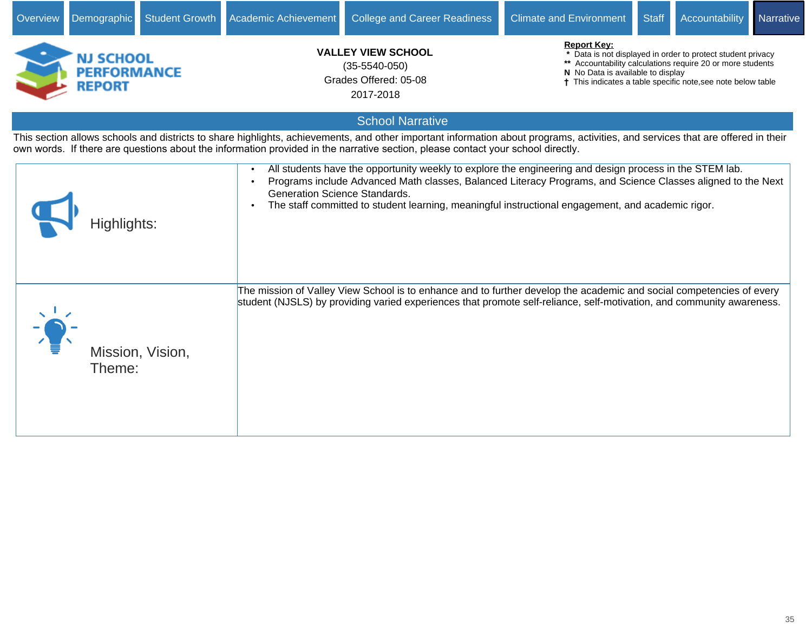| Overview | Demographic                                             | Student Growth   | Academic Achievement          | <b>College and Career Readiness</b>                                                                                                                                                                                                                                                                                         | <b>Climate and Environment</b>                          | <b>Staff</b> | Accountability                                                                                                                                                                            | Narrative |
|----------|---------------------------------------------------------|------------------|-------------------------------|-----------------------------------------------------------------------------------------------------------------------------------------------------------------------------------------------------------------------------------------------------------------------------------------------------------------------------|---------------------------------------------------------|--------------|-------------------------------------------------------------------------------------------------------------------------------------------------------------------------------------------|-----------|
|          | <b>NJ SCHOOL</b><br><b>PERFORMANCE</b><br><b>REPORT</b> |                  |                               | <b>VALLEY VIEW SCHOOL</b><br>$(35 - 5540 - 050)$<br>Grades Offered: 05-08<br>2017-2018                                                                                                                                                                                                                                      | <b>Report Key:</b><br>N No Data is available to display |              | * Data is not displayed in order to protect student privacy<br>** Accountability calculations require 20 or more students<br>† This indicates a table specific note, see note below table |           |
|          |                                                         |                  |                               | <b>School Narrative</b>                                                                                                                                                                                                                                                                                                     |                                                         |              |                                                                                                                                                                                           |           |
|          |                                                         |                  |                               | This section allows schools and districts to share highlights, achievements, and other important information about programs, activities, and services that are offered in their<br>own words. If there are questions about the information provided in the narrative section, please contact your school directly.          |                                                         |              |                                                                                                                                                                                           |           |
|          | Highlights:                                             |                  | Generation Science Standards. | All students have the opportunity weekly to explore the engineering and design process in the STEM lab.<br>Programs include Advanced Math classes, Balanced Literacy Programs, and Science Classes aligned to the Next<br>The staff committed to student learning, meaningful instructional engagement, and academic rigor. |                                                         |              |                                                                                                                                                                                           |           |
|          | Theme:                                                  | Mission, Vision, |                               | The mission of Valley View School is to enhance and to further develop the academic and social competencies of every<br>student (NJSLS) by providing varied experiences that promote self-reliance, self-motivation, and community awareness.                                                                               |                                                         |              |                                                                                                                                                                                           |           |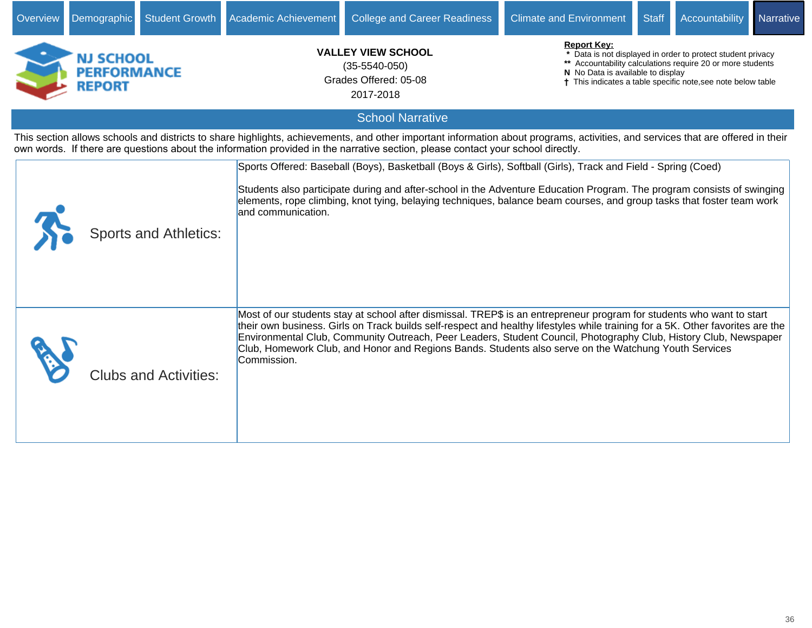| Overview | Demographic                                             | Student Growth               | Academic Achievement | <b>College and Career Readiness</b>                                                                                                                                                                                                                                                                                                                                                                                                                                                 | <b>Climate and Environment</b>                          | <b>Staff</b> | Accountability                                                                                                                                                                            | Narrative |
|----------|---------------------------------------------------------|------------------------------|----------------------|-------------------------------------------------------------------------------------------------------------------------------------------------------------------------------------------------------------------------------------------------------------------------------------------------------------------------------------------------------------------------------------------------------------------------------------------------------------------------------------|---------------------------------------------------------|--------------|-------------------------------------------------------------------------------------------------------------------------------------------------------------------------------------------|-----------|
|          | <b>NJ SCHOOL</b><br><b>PERFORMANCE</b><br><b>REPORT</b> |                              |                      | <b>VALLEY VIEW SCHOOL</b><br>$(35-5540-050)$<br>Grades Offered: 05-08<br>2017-2018                                                                                                                                                                                                                                                                                                                                                                                                  | <b>Report Key:</b><br>N No Data is available to display |              | * Data is not displayed in order to protect student privacy<br>** Accountability calculations require 20 or more students<br>† This indicates a table specific note, see note below table |           |
|          |                                                         |                              |                      | <b>School Narrative</b>                                                                                                                                                                                                                                                                                                                                                                                                                                                             |                                                         |              |                                                                                                                                                                                           |           |
|          |                                                         |                              |                      | This section allows schools and districts to share highlights, achievements, and other important information about programs, activities, and services that are offered in their<br>own words. If there are questions about the information provided in the narrative section, please contact your school directly.                                                                                                                                                                  |                                                         |              |                                                                                                                                                                                           |           |
|          |                                                         | <b>Sports and Athletics:</b> | and communication.   | Sports Offered: Baseball (Boys), Basketball (Boys & Girls), Softball (Girls), Track and Field - Spring (Coed)<br>Students also participate during and after-school in the Adventure Education Program. The program consists of swinging<br>elements, rope climbing, knot tying, belaying techniques, balance beam courses, and group tasks that foster team work                                                                                                                    |                                                         |              |                                                                                                                                                                                           |           |
|          |                                                         | <b>Clubs and Activities:</b> | Commission.          | Most of our students stay at school after dismissal. TREP\$ is an entrepreneur program for students who want to start<br>their own business. Girls on Track builds self-respect and healthy lifestyles while training for a 5K. Other favorites are the<br>Environmental Club, Community Outreach, Peer Leaders, Student Council, Photography Club, History Club, Newspaper<br>Club, Homework Club, and Honor and Regions Bands. Students also serve on the Watchung Youth Services |                                                         |              |                                                                                                                                                                                           |           |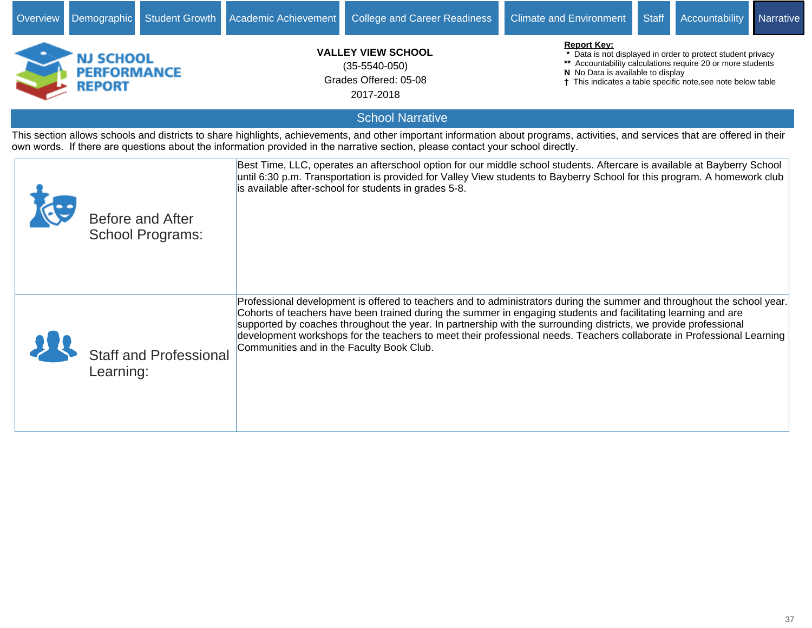| Overview | <b>Student Growth</b><br>Demographic                    | Academic Achievement                      | <b>College and Career Readiness</b>                                                                                                                                                                                                                                                                                                                                                                                                                                                     | <b>Climate and Environment</b>                          | <b>Staff</b> | Accountability                                                                                                                                                                            | Narrative |
|----------|---------------------------------------------------------|-------------------------------------------|-----------------------------------------------------------------------------------------------------------------------------------------------------------------------------------------------------------------------------------------------------------------------------------------------------------------------------------------------------------------------------------------------------------------------------------------------------------------------------------------|---------------------------------------------------------|--------------|-------------------------------------------------------------------------------------------------------------------------------------------------------------------------------------------|-----------|
|          | <b>NJ SCHOOL</b><br><b>PERFORMANCE</b><br><b>REPORT</b> |                                           | <b>VALLEY VIEW SCHOOL</b><br>$(35 - 5540 - 050)$<br>Grades Offered: 05-08<br>2017-2018                                                                                                                                                                                                                                                                                                                                                                                                  | <b>Report Kev:</b><br>N No Data is available to display |              | * Data is not displayed in order to protect student privacy<br>** Accountability calculations require 20 or more students<br>† This indicates a table specific note, see note below table |           |
|          |                                                         |                                           | <b>School Narrative</b>                                                                                                                                                                                                                                                                                                                                                                                                                                                                 |                                                         |              |                                                                                                                                                                                           |           |
|          |                                                         |                                           | This section allows schools and districts to share highlights, achievements, and other important information about programs, activities, and services that are offered in their<br>own words. If there are questions about the information provided in the narrative section, please contact your school directly.                                                                                                                                                                      |                                                         |              |                                                                                                                                                                                           |           |
|          | <b>Before and After</b><br><b>School Programs:</b>      |                                           | Best Time, LLC, operates an afterschool option for our middle school students. Aftercare is available at Bayberry School<br>until 6:30 p.m. Transportation is provided for Valley View students to Bayberry School for this program. A homework club<br>is available after-school for students in grades 5-8.                                                                                                                                                                           |                                                         |              |                                                                                                                                                                                           |           |
|          | <b>Staff and Professional</b><br>Learning:              | Communities and in the Faculty Book Club. | Professional development is offered to teachers and to administrators during the summer and throughout the school year.<br>Cohorts of teachers have been trained during the summer in engaging students and facilitating learning and are<br>supported by coaches throughout the year. In partnership with the surrounding districts, we provide professional<br>development workshops for the teachers to meet their professional needs. Teachers collaborate in Professional Learning |                                                         |              |                                                                                                                                                                                           |           |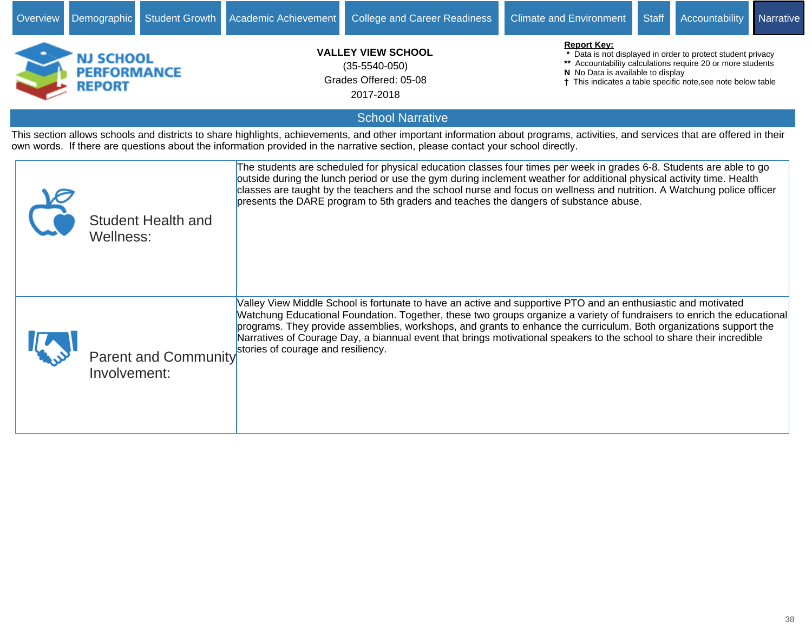| Overview | Demographic                                             | Student Growth              | Academic Achievement                                                                   | <b>College and Career Readiness</b>                                                                                                                                                                                                                                                                                                                                                                                                                                                     | <b>Climate and Environment</b>                                                                                                                                                                                                                       | <b>Staff</b> | Accountability | Narrative |  |
|----------|---------------------------------------------------------|-----------------------------|----------------------------------------------------------------------------------------|-----------------------------------------------------------------------------------------------------------------------------------------------------------------------------------------------------------------------------------------------------------------------------------------------------------------------------------------------------------------------------------------------------------------------------------------------------------------------------------------|------------------------------------------------------------------------------------------------------------------------------------------------------------------------------------------------------------------------------------------------------|--------------|----------------|-----------|--|
|          | <b>NJ SCHOOL</b><br><b>PERFORMANCE</b><br><b>REPORT</b> |                             | <b>VALLEY VIEW SCHOOL</b><br>$(35 - 5540 - 050)$<br>Grades Offered: 05-08<br>2017-2018 |                                                                                                                                                                                                                                                                                                                                                                                                                                                                                         | <b>Report Key:</b><br>* Data is not displayed in order to protect student privacy<br>** Accountability calculations require 20 or more students<br>N No Data is available to display<br>† This indicates a table specific note, see note below table |              |                |           |  |
|          |                                                         |                             |                                                                                        | <b>School Narrative</b>                                                                                                                                                                                                                                                                                                                                                                                                                                                                 |                                                                                                                                                                                                                                                      |              |                |           |  |
|          |                                                         |                             |                                                                                        | This section allows schools and districts to share highlights, achievements, and other important information about programs, activities, and services that are offered in their<br>own words. If there are questions about the information provided in the narrative section, please contact your school directly.                                                                                                                                                                      |                                                                                                                                                                                                                                                      |              |                |           |  |
|          | Wellness:                                               | <b>Student Health and</b>   |                                                                                        | The students are scheduled for physical education classes four times per week in grades 6-8. Students are able to go<br>outside during the lunch period or use the gym during inclement weather for additional physical activity time. Health<br>classes are taught by the teachers and the school nurse and focus on wellness and nutrition. A Watchung police officer<br>presents the DARE program to 5th graders and teaches the dangers of substance abuse.                         |                                                                                                                                                                                                                                                      |              |                |           |  |
|          | Involvement:                                            | <b>Parent and Community</b> | stories of courage and resiliency.                                                     | Valley View Middle School is fortunate to have an active and supportive PTO and an enthusiastic and motivated<br>Watchung Educational Foundation. Together, these two groups organize a variety of fundraisers to enrich the educational<br>programs. They provide assemblies, workshops, and grants to enhance the curriculum. Both organizations support the<br>Narratives of Courage Day, a biannual event that brings motivational speakers to the school to share their incredible |                                                                                                                                                                                                                                                      |              |                |           |  |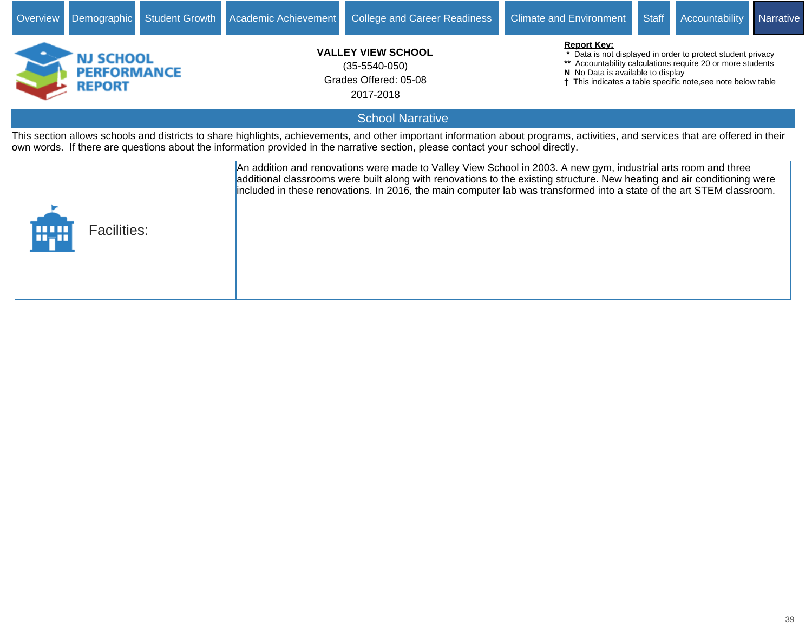